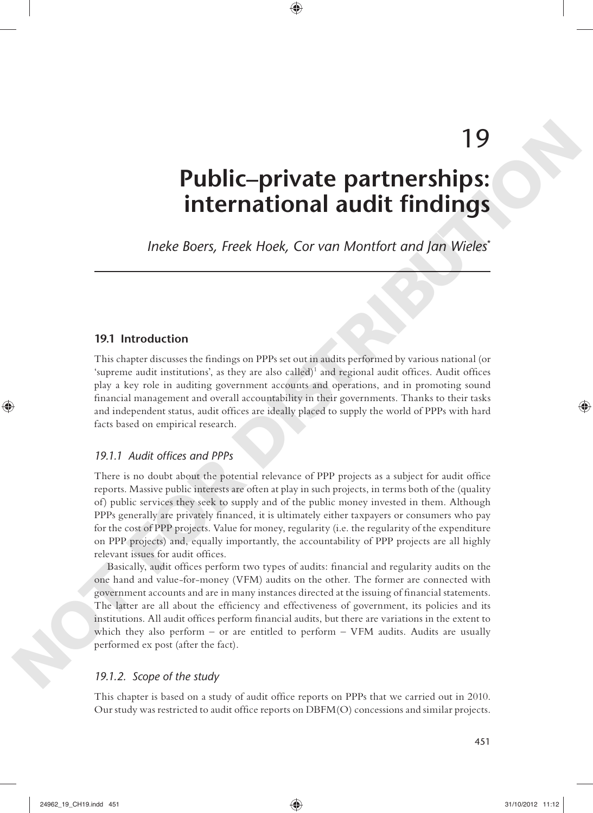# 19

## **Public–private partnerships: international audit findings**

 *Ineke Boers, Freek Hoek, Cor van Montfort and Jan Wieles* \*

◈

## **19.1 Introduction**

This chapter discusses the findings on PPPs set out in audits performed by various national (or 'supreme audit institutions', as they are also called)<sup>1</sup> and regional audit offices. Audit offices play a key role in auditing government accounts and operations, and in promoting sound financial management and overall accountability in their governments. Thanks to their tasks and independent status, audit offices are ideally placed to supply the world of PPPs with hard facts based on empirical research.

## 19.1.1 Audit offices and PPPs

There is no doubt about the potential relevance of PPP projects as a subject for audit office reports. Massive public interests are often at play in such projects, in terms both of the (quality of) public services they seek to supply and of the public money invested in them. Although PPPs generally are privately financed, it is ultimately either taxpayers or consumers who pay for the cost of PPP projects. Value for money, regularity (i.e. the regularity of the expenditure on PPP projects) and, equally importantly, the accountability of PPP projects are all highly relevant issues for audit offices.

Basically, audit offices perform two types of audits: financial and regularity audits on the one hand and value- for-money (VFM) audits on the other. The former are connected with government accounts and are in many instances directed at the issuing of financial statements. The latter are all about the efficiency and effectiveness of government, its policies and its institutions. All audit offices perform financial audits, but there are variations in the extent to which they also perform – or are entitled to perform  $-$  VFM audits. Audits are usually performed ex post (after the fact). **Public-private partnerships:**<br> **Note Transform and a such that the controller in the second state of the second state of the second state of the second state of the second state of the second state of the second state of** 

## *19.1.2. Scope of the study*

This chapter is based on a study of audit office reports on PPPs that we carried out in 2010. Our study was restricted to audit office reports on DBFM(O) concessions and similar projects.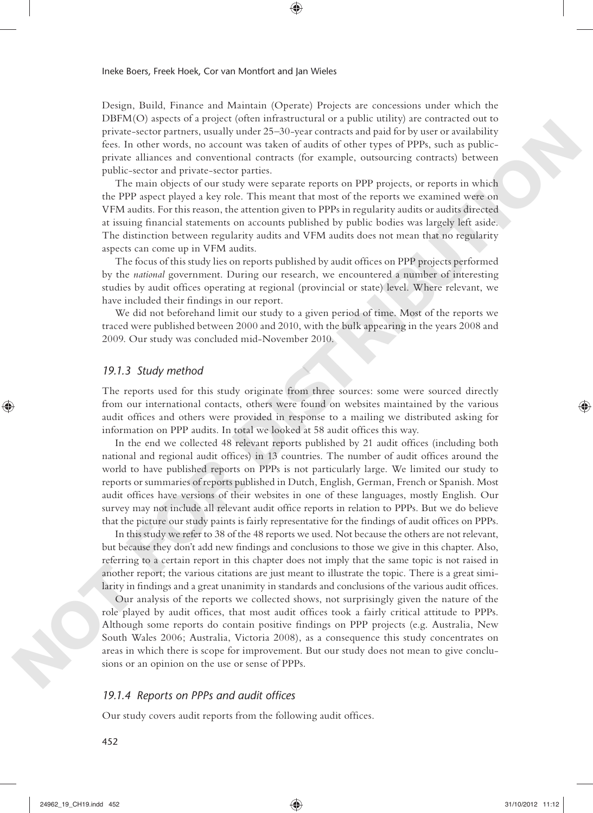Design, Build, Finance and Maintain (Operate) Projects are concessions under which the DBFM(O) aspects of a project (often infrastructural or a public utility) are contracted out to private- sector partners, usually under 25–30-year contracts and paid for by user or availability fees. In other words, no account was taken of audits of other types of PPPs, such as publicprivate alliances and conventional contracts (for example, outsourcing contracts) between public-sector and private-sector parties.

⊕

The main objects of our study were separate reports on PPP projects, or reports in which the PPP aspect played a key role. This meant that most of the reports we examined were on VFM audits. For this reason, the attention given to PPPs in regularity audits or audits directed at issuing financial statements on accounts published by public bodies was largely left aside. The distinction between regularity audits and VFM audits does not mean that no regularity aspects can come up in VFM audits.

The focus of this study lies on reports published by audit offices on PPP projects performed by the *national* government. During our research, we encountered a number of interesting studies by audit offices operating at regional (provincial or state) level. Where relevant, we have included their findings in our report.

We did not beforehand limit our study to a given period of time. Most of the reports we traced were published between 2000 and 2010, with the bulk appearing in the years 2008 and 2009. Our study was concluded mid-November 2010.

#### *19.1.3 Study method*

The reports used for this study originate from three sources: some were sourced directly from our international contacts, others were found on websites maintained by the various audit offices and others were provided in response to a mailing we distributed asking for information on PPP audits. In total we looked at 58 audit offices this way.

In the end we collected 48 relevant reports published by 21 audit offices (including both national and regional audit offices) in 13 countries. The number of audit offices around the world to have published reports on PPPs is not particularly large. We limited our study to reports or summaries of reports published in Dutch, English, German, French or Spanish. Most audit offices have versions of their websites in one of these languages, mostly English. Our survey may not include all relevant audit office reports in relation to PPPs. But we do believe that the picture our study paints is fairly representative for the findings of audit offices on PPPs. private section particular, manife unitarities the state contract and patients by the contract section of the contract and contract and contract and contract and the contract and contract and the contract and the contract

In this study we refer to 38 of the 48 reports we used. Not because the others are not relevant, but because they don't add new findings and conclusions to those we give in this chapter. Also, referring to a certain report in this chapter does not imply that the same topic is not raised in another report; the various citations are just meant to illustrate the topic. There is a great similarity in findings and a great unanimity in standards and conclusions of the various audit offices.

Our analysis of the reports we collected shows, not surprisingly given the nature of the role played by audit offices, that most audit offices took a fairly critical attitude to PPPs. Although some reports do contain positive findings on PPP projects (e.g. Australia, New South Wales 2006; Australia, Victoria 2008), as a consequence this study concentrates on areas in which there is scope for improvement. But our study does not mean to give conclusions or an opinion on the use or sense of PPPs.

## 19.1.4 Reports on PPPs and audit offices

Our study covers audit reports from the following audit offices.

452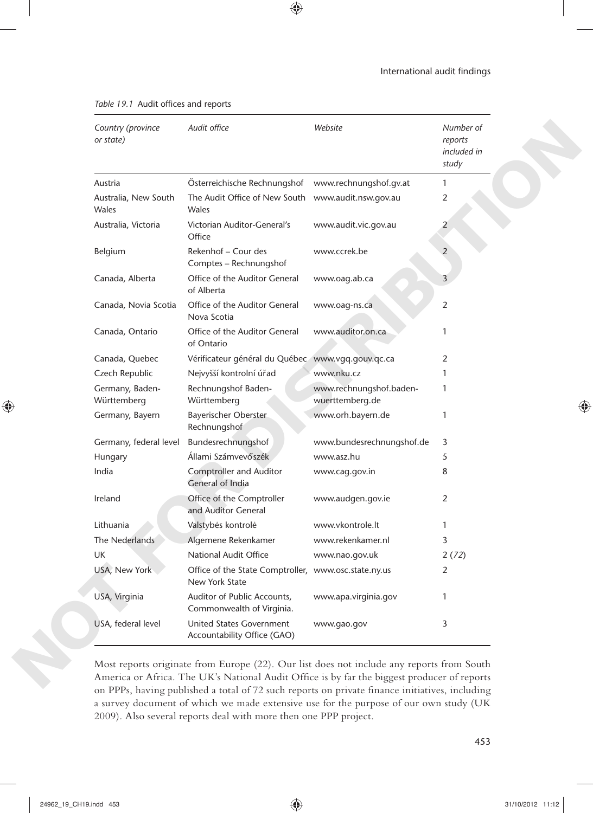| Country (province<br>or state) | Audit office                                                           | Website                                    | Number of<br>reports<br>included in<br>study |
|--------------------------------|------------------------------------------------------------------------|--------------------------------------------|----------------------------------------------|
| Austria                        | Österreichische Rechnungshof                                           | www.rechnungshof.gv.at                     | 1                                            |
| Australia, New South<br>Wales  | The Audit Office of New South<br>Wales                                 | www.audit.nsw.gov.au                       | 2                                            |
| Australia, Victoria            | Victorian Auditor-General's<br>Office                                  | www.audit.vic.gov.au                       | 2                                            |
| Belgium                        | Rekenhof - Cour des<br>Comptes - Rechnungshof                          | www.ccrek.be                               |                                              |
| Canada, Alberta                | Office of the Auditor General<br>of Alberta                            | www.oag.ab.ca                              | 3                                            |
| Canada, Novia Scotia           | Office of the Auditor General<br>Nova Scotia                           | www.oag-ns.ca                              | 2                                            |
| Canada, Ontario                | Office of the Auditor General<br>of Ontario                            | www.auditor.on.ca                          | 1                                            |
| Canada, Quebec                 | Vérificateur général du Québec www.vgq.gouv.qc.ca                      |                                            | 2                                            |
| Czech Republic                 | Nejvyšší kontrolní úřad                                                | www.nku.cz                                 | 1                                            |
| Germany, Baden-<br>Württemberg | Rechnungshof Baden-<br>Württemberg                                     | www.rechnungshof.baden-<br>wuerttemberg.de | 1                                            |
| Germany, Bayern                | Bayerischer Oberster<br>Rechnungshof                                   | www.orh.bayern.de                          | 1                                            |
| Germany, federal level         | Bundesrechnungshof                                                     | www.bundesrechnungshof.de                  | 3                                            |
| Hungary                        | Állami Számvevőszék                                                    | www.asz.hu                                 | 5                                            |
| India                          | <b>Comptroller and Auditor</b><br>General of India                     | www.cag.gov.in                             | 8                                            |
| Ireland                        | Office of the Comptroller<br>and Auditor General                       | www.audgen.gov.ie                          | 2                                            |
| Lithuania                      | Valstybės kontrolė                                                     | www.vkontrole.lt                           | 1                                            |
| The Nederlands                 | Algemene Rekenkamer                                                    | www.rekenkamer.nl                          | 3                                            |
| UK                             | National Audit Office                                                  | www.nao.gov.uk                             | 2(72)                                        |
| USA, New York                  | Office of the State Comptroller, www.osc.state.ny.us<br>New York State |                                            | $\overline{2}$                               |
| USA, Virginia                  | Auditor of Public Accounts,<br>Commonwealth of Virginia.               | www.apa.virginia.gov                       |                                              |
| USA, federal level             | United States Government<br>Accountability Office (GAO)                | www.gao.gov                                | 3                                            |

 $\bigcirc$ 

Table 19.1 Audit offices and reports

Most reports originate from Europe (22). Our list does not include any reports from South America or Africa. The UK's National Audit Office is by far the biggest producer of reports on PPPs, having published a total of 72 such reports on private finance initiatives, including a survey document of which we made extensive use for the purpose of our own study (UK 2009). Also several reports deal with more then one PPP project.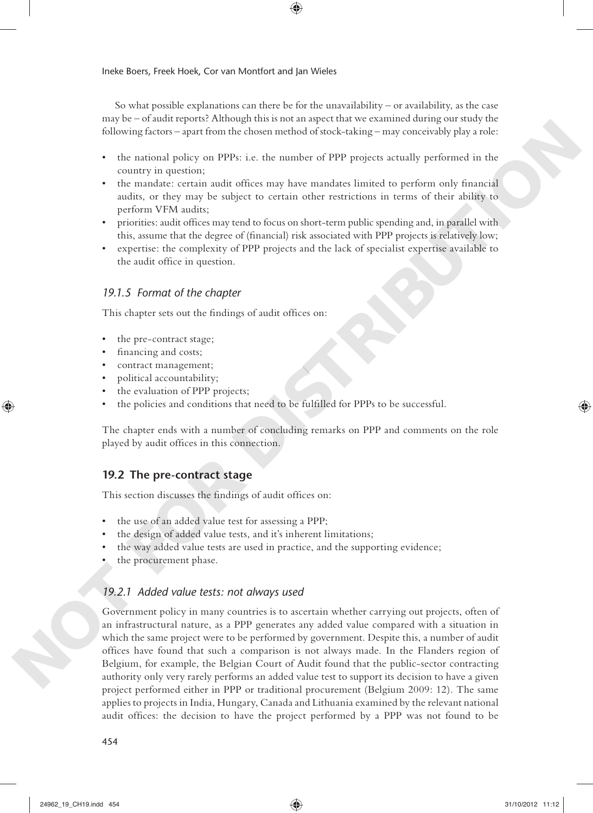So what possible explanations can there be for the unavailability – or availability, as the case may be – of audit reports? Although this is not an aspect that we examined during our study the following factors – apart from the chosen method of stock- taking – may conceivably play a role:

◈

- the national policy on PPPs: i.e. the number of PPP projects actually performed in the country in question;
- the mandate: certain audit offices may have mandates limited to perform only financial audits, or they may be subject to certain other restrictions in terms of their ability to perform VFM audits;
- priorities: audit offices may tend to focus on short-term public spending and, in parallel with this, assume that the degree of (financial) risk associated with PPP projects is relatively low;
- expertise: the complexity of PPP projects and the lack of specialist expertise available to the audit office in question.

## *19.1.5 Format of the chapter*

This chapter sets out the findings of audit offices on:

- the pre-contract stage;
- financing and costs;
- contract management;
- political accountability;
- the evaluation of PPP projects;
- the policies and conditions that need to be fulfilled for PPPs to be successful.

The chapter ends with a number of concluding remarks on PPP and comments on the role played by audit offices in this connection.

## **19.2 The pre- contract stage**

This section discusses the findings of audit offices on:

- the use of an added value test for assessing a PPP;
- the design of added value tests, and it's inherent limitations;
- the way added value tests are used in practice, and the supporting evidence;
- the procurement phase.

## *19.2.1 Added value tests: not always used*

Government policy in many countries is to ascertain whether carrying out projects, often of an infrastructural nature, as a PPP generates any added value compared with a situation in which the same project were to be performed by government. Despite this, a number of audit offices have found that such a comparison is not always made. In the Flanders region of Belgium, for example, the Belgian Court of Audit found that the public- sector contracting authority only very rarely performs an added value test to support its decision to have a given project performed either in PPP or traditional procurement (Belgium 2009: 12). The same applies to projects in India, Hungary, Canada and Lithuania examined by the relevant national audit offices: the decision to have the project performed by a PPP was not found to be **Notion of the main of the set of the set of the set of the set of the set of the main of the set of the set of the set of the set of the set of the set of the set of the set of the set of the set of the set of the set of**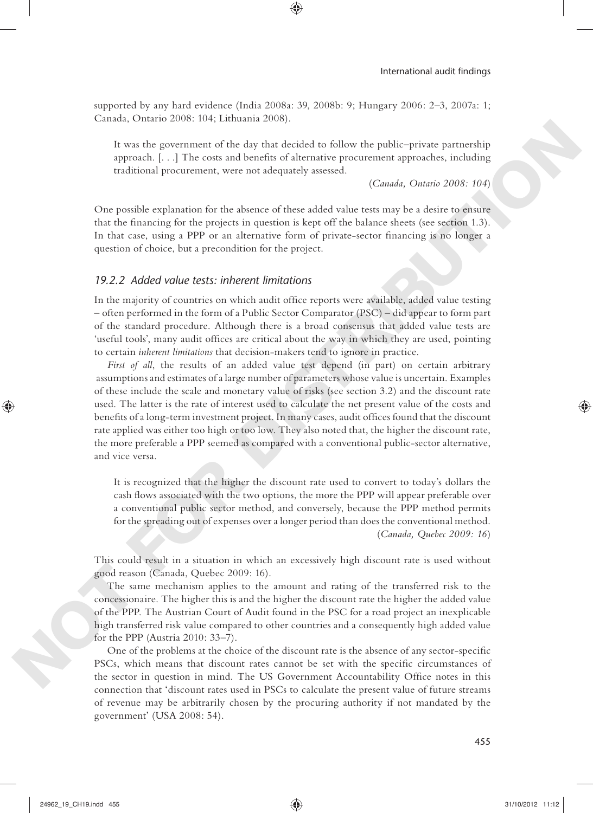supported by any hard evidence (India 2008a: 39, 2008b: 9; Hungary 2006: 2–3, 2007a: 1; Canada, Ontario 2008: 104; Lithuania 2008).

⊕

It was the government of the day that decided to follow the public–private partnership approach.  $[...]$  The costs and benefits of alternative procurement approaches, including traditional procurement, were not adequately assessed.

(*Canada, Ontario 2008: 104*)

One possible explanation for the absence of these added value tests may be a desire to ensure that the financing for the projects in question is kept off the balance sheets (see section 1.3). In that case, using a PPP or an alternative form of private-sector financing is no longer a question of choice, but a precondition for the project.

## *19.2.2 Added value tests: inherent limitations*

In the majority of countries on which audit office reports were available, added value testing – often performed in the form of a Public Sector Comparator (PSC) – did appear to form part of the standard procedure. Although there is a broad consensus that added value tests are 'useful tools', many audit offices are critical about the way in which they are used, pointing to certain *inherent limitations* that decision- makers tend to ignore in practice.

*First of all*, the results of an added value test depend (in part) on certain arbitrary assumptions and estimates of a large number of parameters whose value is uncertain. Examples of these include the scale and monetary value of risks (see section 3.2) and the discount rate used. The latter is the rate of interest used to calculate the net present value of the costs and benefits of a long-term investment project. In many cases, audit offices found that the discount rate applied was either too high or too low. They also noted that, the higher the discount rate, the more preferable a PPP seemed as compared with a conventional public- sector alternative, and vice versa. It was the government of the day that devided to follow the public-private partonchic approache, 1....) The cost and bosofies of others are two the set of the set of the set of the set of the set of the set of the set of

It is recognized that the higher the discount rate used to convert to today's dollars the cash flows associated with the two options, the more the PPP will appear preferable over a conventional public sector method, and conversely, because the PPP method permits for the spreading out of expenses over a longer period than does the conventional method. (*Canada, Quebec 2009: 16*)

This could result in a situation in which an excessively high discount rate is used without good reason (Canada, Quebec 2009: 16).

The same mechanism applies to the amount and rating of the transferred risk to the concessionaire. The higher this is and the higher the discount rate the higher the added value of the PPP. The Austrian Court of Audit found in the PSC for a road project an inexplicable high transferred risk value compared to other countries and a consequently high added value for the PPP (Austria 2010: 33–7).

One of the problems at the choice of the discount rate is the absence of any sector-specific PSCs, which means that discount rates cannot be set with the specific circumstances of the sector in question in mind. The US Government Accountability Office notes in this connection that 'discount rates used in PSCs to calculate the present value of future streams of revenue may be arbitrarily chosen by the procuring authority if not mandated by the government' (USA 2008: 54).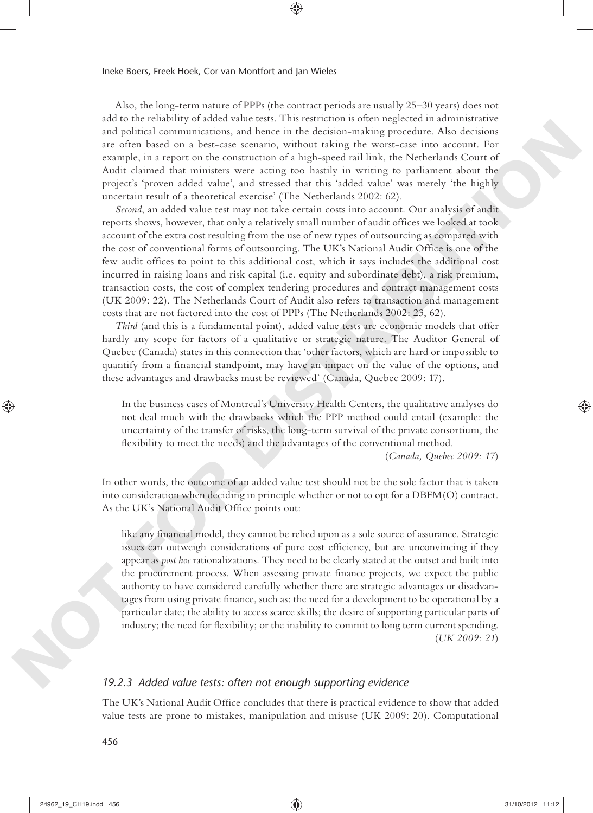Also, the long- term nature of PPPs (the contract periods are usually 25–30 years) does not add to the reliability of added value tests. This restriction is often neglected in administrative and political communications, and hence in the decision- making procedure. Also decisions are often based on a best-case scenario, without taking the worst-case into account. For example, in a report on the construction of a high- speed rail link, the Netherlands Court of Audit claimed that ministers were acting too hastily in writing to parliament about the project's 'proven added value', and stressed that this 'added value' was merely 'the highly uncertain result of a theoretical exercise' (The Netherlands 2002: 62).

⊕

*Second*, an added value test may not take certain costs into account. Our analysis of audit reports shows, however, that only a relatively small number of audit offices we looked at took account of the extra cost resulting from the use of new types of outsourcing as compared with the cost of conventional forms of outsourcing. The UK's National Audit Office is one of the few audit offices to point to this additional cost, which it says includes the additional cost incurred in raising loans and risk capital (i.e. equity and subordinate debt), a risk premium, transaction costs, the cost of complex tendering procedures and contract management costs (UK 2009: 22). The Netherlands Court of Audit also refers to transaction and management costs that are not factored into the cost of PPPs (The Netherlands 2002: 23, 62). and political commutations, and hande describes the decision making procedure. Also decisions and handel commutations, and handel commutations of a large-system and the commutation of a large-system and the extent of the

*Third* (and this is a fundamental point), added value tests are economic models that offer hardly any scope for factors of a qualitative or strategic nature. The Auditor General of Quebec (Canada) states in this connection that 'other factors, which are hard or impossible to quantify from a financial standpoint, may have an impact on the value of the options, and these advantages and drawbacks must be reviewed' (Canada, Quebec 2009: 17).

In the business cases of Montreal's University Health Centers, the qualitative analyses do not deal much with the drawbacks which the PPP method could entail (example: the uncertainty of the transfer of risks, the long- term survival of the private consortium, the flexibility to meet the needs) and the advantages of the conventional method.

(*Canada, Quebec 2009: 17*)

In other words, the outcome of an added value test should not be the sole factor that is taken into consideration when deciding in principle whether or not to opt for a DBFM(O) contract. As the UK's National Audit Office points out:

like any financial model, they cannot be relied upon as a sole source of assurance. Strategic issues can outweigh considerations of pure cost efficiency, but are unconvincing if they appear as *post hoc* rationalizations. They need to be clearly stated at the outset and built into the procurement process. When assessing private finance projects, we expect the public authority to have considered carefully whether there are strategic advantages or disadvantages from using private finance, such as: the need for a development to be operational by a particular date; the ability to access scarce skills; the desire of supporting particular parts of industry; the need for flexibility; or the inability to commit to long term current spending. (*UK 2009: 21*)

## *19.2.3 Added value tests: often not enough supporting evidence*

The UK's National Audit Office concludes that there is practical evidence to show that added value tests are prone to mistakes, manipulation and misuse (UK 2009: 20). Computational

456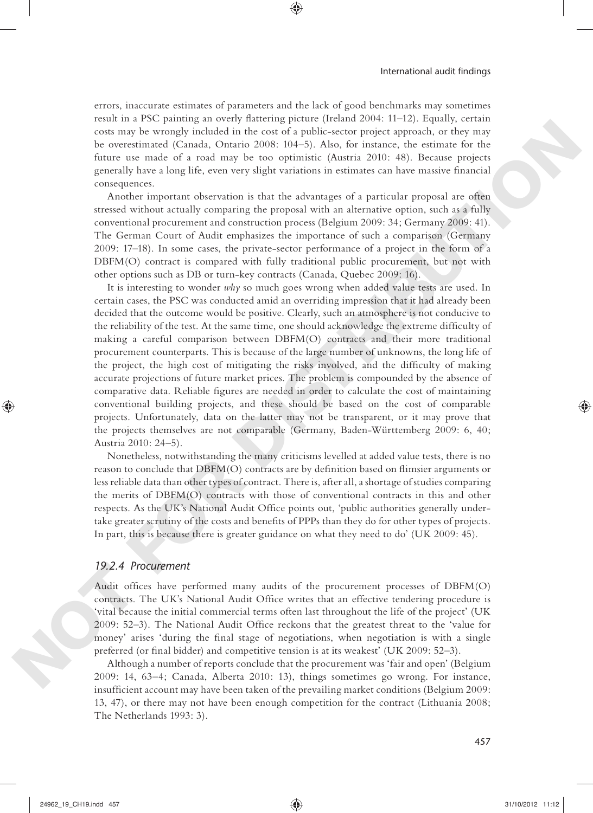errors, inaccurate estimates of parameters and the lack of good benchmarks may sometimes result in a PSC painting an overly flattering picture (Ireland 2004: 11–12). Equally, certain costs may be wrongly included in the cost of a public- sector project approach, or they may be overestimated (Canada, Ontario 2008: 104–5). Also, for instance, the estimate for the future use made of a road may be too optimistic (Austria 2010: 48). Because projects generally have a long life, even very slight variations in estimates can have massive financial consequences.

⊕

Another important observation is that the advantages of a particular proposal are often stressed without actually comparing the proposal with an alternative option, such as a fully conventional procurement and construction process (Belgium 2009: 34; Germany 2009: 41). The German Court of Audit emphasizes the importance of such a comparison (Germany 2009: 17–18). In some cases, the private- sector performance of a project in the form of a DBFM(O) contract is compared with fully traditional public procurement, but not with other options such as DB or turn- key contracts (Canada, Quebec 2009: 16).

It is interesting to wonder *why* so much goes wrong when added value tests are used. In certain cases, the PSC was conducted amid an overriding impression that it had already been decided that the outcome would be positive. Clearly, such an atmosphere is not conducive to the reliability of the test. At the same time, one should acknowledge the extreme difficulty of making a careful comparison between DBFM(O) contracts and their more traditional procurement counterparts. This is because of the large number of unknowns, the long life of the project, the high cost of mitigating the risks involved, and the difficulty of making accurate projections of future market prices. The problem is compounded by the absence of comparative data. Reliable figures are needed in order to calculate the cost of maintaining conventional building projects, and these should be based on the cost of comparable projects. Unfortunately, data on the latter may not be transparent, or it may prove that the projects themselves are not comparable (Germany, Baden-Württemberg 2009: 6, 40; Austria 2010: 24–5). can so me be wrong bindalad in the case of a public sector pojects, or they may be oversimated (Canada, Ontario 2008: 104-95). Also, for ansation, the casimize for the particle for a result of a root don't be the particle

Nonetheless, notwithstanding the many criticisms levelled at added value tests, there is no reason to conclude that  $DBFM(O)$  contracts are by definition based on flimsier arguments or less reliable data than other types of contract. There is, after all, a shortage of studies comparing the merits of DBFM(O) contracts with those of conventional contracts in this and other respects. As the UK's National Audit Office points out, 'public authorities generally undertake greater scrutiny of the costs and benefits of PPPs than they do for other types of projects. In part, this is because there is greater guidance on what they need to do' (UK 2009: 45).

#### *19.2.4 Procurement*

Audit offices have performed many audits of the procurement processes of  $DBFM(O)$ contracts. The UK's National Audit Office writes that an effective tendering procedure is 'vital because the initial commercial terms often last throughout the life of the project' (UK 2009: 52–3). The National Audit Office reckons that the greatest threat to the 'value for money' arises 'during the final stage of negotiations, when negotiation is with a single preferred (or final bidder) and competitive tension is at its weakest' (UK 2009: 52-3).

Although a number of reports conclude that the procurement was 'fair and open' (Belgium 2009: 14, 63–4; Canada, Alberta 2010: 13), things sometimes go wrong. For instance, insufficient account may have been taken of the prevailing market conditions (Belgium 2009: 13, 47), or there may not have been enough competition for the contract (Lithuania 2008; The Netherlands 1993: 3).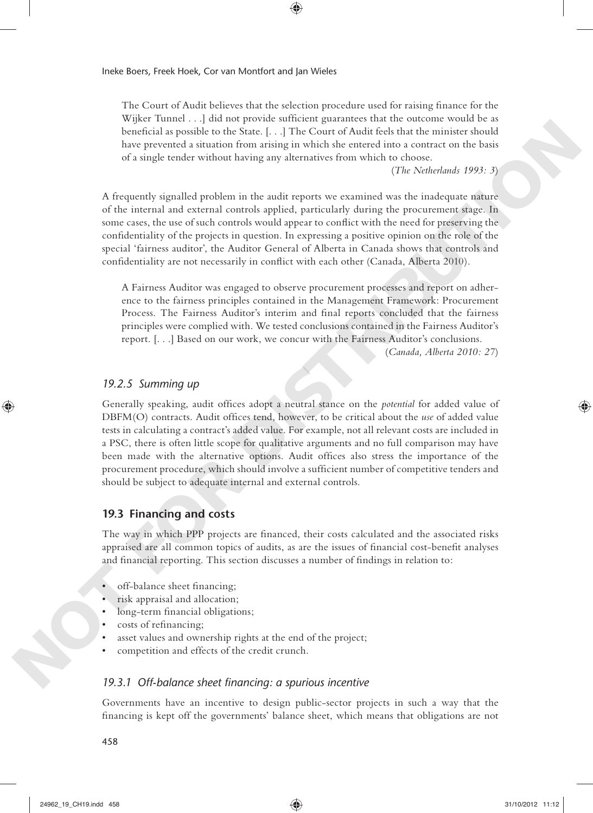The Court of Audit believes that the selection procedure used for raising finance for the Wijker Tunnel . . .] did not provide sufficient guarantees that the outcome would be as beneficial as possible to the State. [...] The Court of Audit feels that the minister should have prevented a situation from arising in which she entered into a contract on the basis of a single tender without having any alternatives from which to choose.

⊕

(*The Netherlands 1993: 3*)

A frequently signalled problem in the audit reports we examined was the inadequate nature of the internal and external controls applied, particularly during the procurement stage. In some cases, the use of such controls would appear to conflict with the need for preserving the confidentiality of the projects in question. In expressing a positive opinion on the role of the special 'fairness auditor', the Auditor General of Alberta in Canada shows that controls and confidentiality are not necessarily in conflict with each other (Canada, Alberta 2010).

A Fairness Auditor was engaged to observe procurement processes and report on adherence to the fairness principles contained in the Management Framework: Procurement Process. The Fairness Auditor's interim and final reports concluded that the fairness principles were complied with. We tested conclusions contained in the Fairness Auditor's report. [. . .] Based on our work, we concur with the Fairness Auditor's conclusions.

(*Canada, Alberta 2010: 27*)

#### *19.2.5 Summing up*

Generally speaking, audit offices adopt a neutral stance on the *potential* for added value of DBFM(O) contracts. Audit offices tend, however, to be critical about the *use* of added value tests in calculating a contract's added value. For example, not all relevant costs are included in a PSC, there is often little scope for qualitative arguments and no full comparison may have been made with the alternative options. Audit offices also stress the importance of the procurement procedure, which should involve a sufficient number of competitive tenders and should be subject to adequate internal and external controls. **Noterior** the third is a possible the size  $\mu_0$ . (The General funds that that the interimental size possible and size  $\mu_0$  is a size  $\mu_0$  is a size  $\mu_0$  is a size  $\mu_0$  is a size  $\mu_0$  is a size  $\mu_0$  is a siz

## **19.3 Financing and costs**

The way in which PPP projects are financed, their costs calculated and the associated risks appraised are all common topics of audits, as are the issues of financial cost-benefit analyses and financial reporting. This section discusses a number of findings in relation to:

- off-balance sheet financing;
- risk appraisal and allocation;
- long-term financial obligations;
- costs of refinancing;
- asset values and ownership rights at the end of the project;
- competition and effects of the credit crunch.

#### 19.3.1 Off-balance sheet financing: a spurious incentive

Governments have an incentive to design public- sector projects in such a way that the financing is kept off the governments' balance sheet, which means that obligations are not

458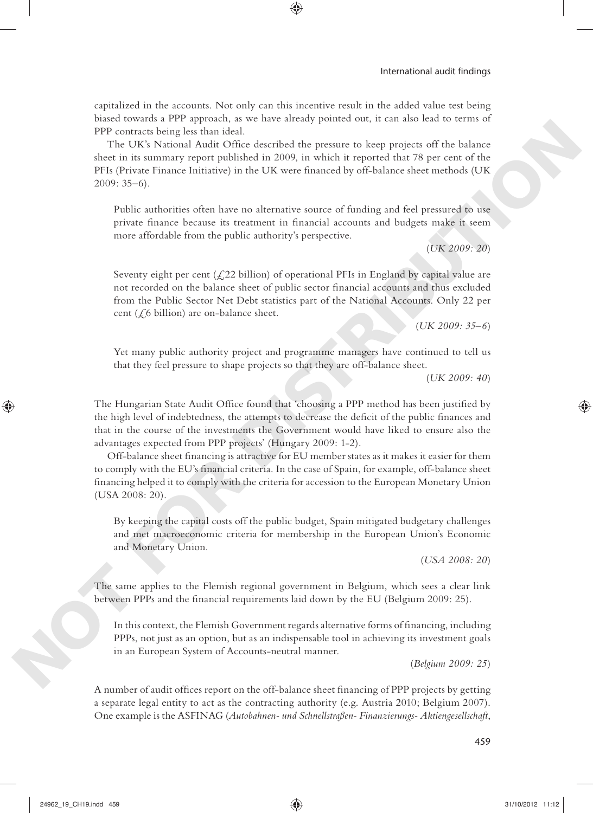capitalized in the accounts. Not only can this incentive result in the added value test being biased towards a PPP approach, as we have already pointed out, it can also lead to terms of PPP contracts being less than ideal.

⊕

The UK's National Audit Office described the pressure to keep projects off the balance sheet in its summary report published in 2009, in which it reported that 78 per cent of the PFIs (Private Finance Initiative) in the UK were financed by off-balance sheet methods (UK 2009: 35–6).

Public authorities often have no alternative source of funding and feel pressured to use private finance because its treatment in financial accounts and budgets make it seem more affordable from the public authority's perspective.

(*UK 2009: 20*)

Seventy eight per cent  $(\text{\textsterling}22$  billion) of operational PFIs in England by capital value are not recorded on the balance sheet of public sector financial accounts and thus excluded from the Public Sector Net Debt statistics part of the National Accounts. Only 22 per cent  $(\zeta_6$  billion) are on-balance sheet.

(*UK 2009: 35–6*)

Yet many public authority project and programme managers have continued to tell us that they feel pressure to shape projects so that they are off- balance sheet.

(*UK 2009: 40*)

The Hungarian State Audit Office found that 'choosing a PPP method has been justified by the high level of indebtedness, the attempts to decrease the deficit of the public finances and that in the course of the investments the Government would have liked to ensure also the advantages expected from PPP projects' (Hungary 2009: 1-2).

Off-balance sheet financing is attractive for EU member states as it makes it easier for them to comply with the EU's financial criteria. In the case of Spain, for example, off-balance sheet financing helped it to comply with the criteria for accession to the European Monetary Union (USA 2008: 20). **PP** contracts elemption in tied.<br>
The UK is Notational Angle of the detectived the presence to keep projects off the balance<br>
size in its sammary report published in 2008, in which is espected by the control of the prese

By keeping the capital costs off the public budget, Spain mitigated budgetary challenges and met macroeconomic criteria for membership in the European Union's Economic and Monetary Union.

(*USA 2008: 20*)

The same applies to the Flemish regional government in Belgium, which sees a clear link between PPPs and the financial requirements laid down by the EU (Belgium 2009: 25).

In this context, the Flemish Government regards alternative forms of financing, including PPPs, not just as an option, but as an indispensable tool in achieving its investment goals in an European System of Accounts-neutral manner.

(*Belgium 2009: 25*)

A number of audit offices report on the off-balance sheet financing of PPP projects by getting a separate legal entity to act as the contracting authority (e.g. Austria 2010; Belgium 2007). One example is the ASFINAG ( *Autobahnen- und Schnellstraßen- Finanzierungs- Aktiengesellschaft* ,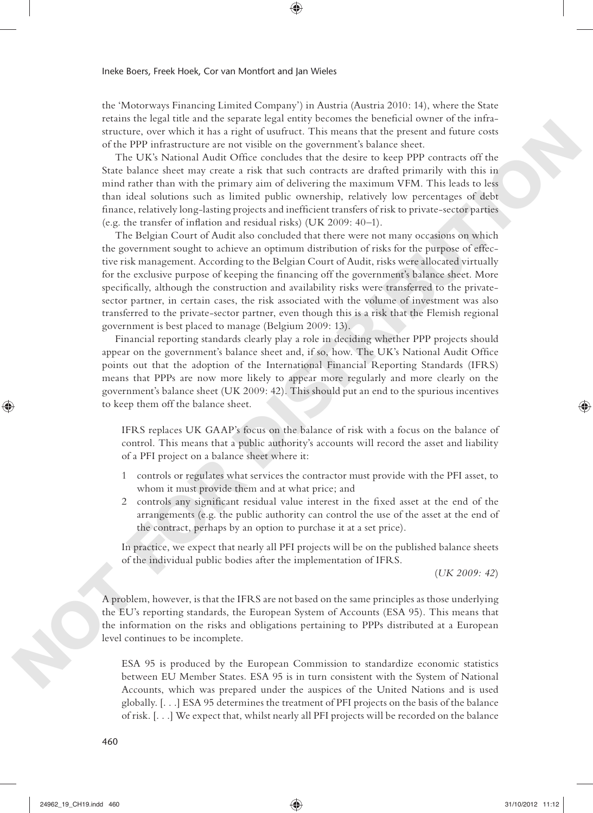the 'Motorways Financing Limited Company') in Austria (Austria 2010: 14), where the State retains the legal title and the separate legal entity becomes the beneficial owner of the infrastructure, over which it has a right of usufruct. This means that the present and future costs of the PPP infrastructure are not visible on the government's balance sheet.

⊕

The UK's National Audit Office concludes that the desire to keep PPP contracts off the State balance sheet may create a risk that such contracts are drafted primarily with this in mind rather than with the primary aim of delivering the maximum VFM. This leads to less than ideal solutions such as limited public ownership, relatively low percentages of debt finance, relatively long-lasting projects and inefficient transfers of risk to private-sector parties (e.g. the transfer of inflation and residual risks) (UK 2009: 40-1).

The Belgian Court of Audit also concluded that there were not many occasions on which the government sought to achieve an optimum distribution of risks for the purpose of effective risk management. According to the Belgian Court of Audit, risks were allocated virtually for the exclusive purpose of keeping the financing off the government's balance sheet. More specifically, although the construction and availability risks were transferred to the privatesector partner, in certain cases, the risk associated with the volume of investment was also transferred to the private- sector partner, even though this is a risk that the Flemish regional government is best placed to manage (Belgium 2009: 13). SECURE THE IN a map of studies that means the the present and the<br>true term of the studies that a map of the studies of the form of the CNC Notice (s) to<br> $\Omega$ . The UNK Notice (s) the studies of the decision of the studie

Financial reporting standards clearly play a role in deciding whether PPP projects should appear on the government's balance sheet and, if so, how. The UK's National Audit Office points out that the adoption of the International Financial Reporting Standards (IFRS) means that PPPs are now more likely to appear more regularly and more clearly on the government's balance sheet (UK 2009: 42). This should put an end to the spurious incentives to keep them off the balance sheet.

IFRS replaces UK GAAP's focus on the balance of risk with a focus on the balance of control. This means that a public authority's accounts will record the asset and liability of a PFI project on a balance sheet where it:

- 1 controls or regulates what services the contractor must provide with the PFI asset, to whom it must provide them and at what price; and
- 2 controls any significant residual value interest in the fixed asset at the end of the arrangements (e.g. the public authority can control the use of the asset at the end of the contract, perhaps by an option to purchase it at a set price).

In practice, we expect that nearly all PFI projects will be on the published balance sheets of the individual public bodies after the implementation of IFRS.

(*UK 2009: 42*)

A problem, however, is that the IFRS are not based on the same principles as those underlying the EU's reporting standards, the European System of Accounts (ESA 95). This means that the information on the risks and obligations pertaining to PPPs distributed at a European level continues to be incomplete.

ESA 95 is produced by the European Commission to standardize economic statistics between EU Member States. ESA 95 is in turn consistent with the System of National Accounts, which was prepared under the auspices of the United Nations and is used globally. [. . .] ESA 95 determines the treatment of PFI projects on the basis of the balance of risk. [. . .] We expect that, whilst nearly all PFI projects will be recorded on the balance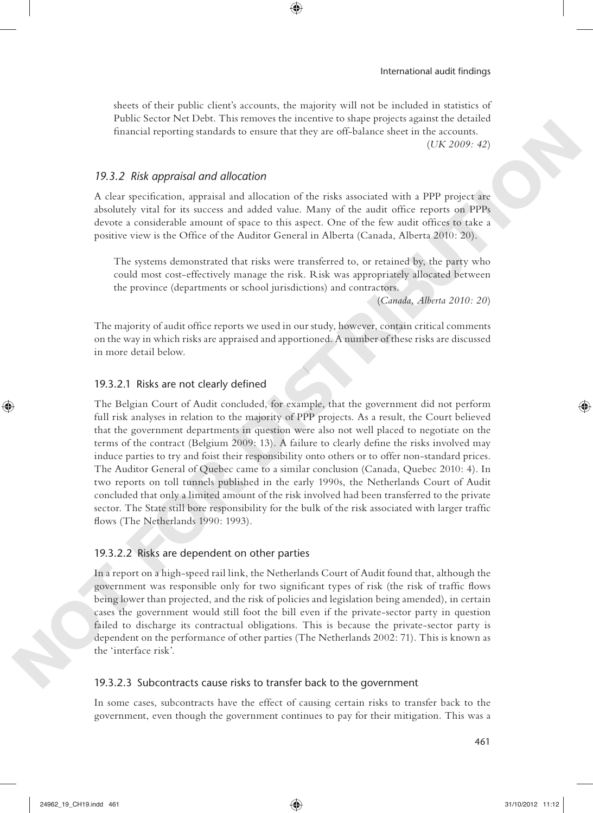sheets of their public client's accounts, the majority will not be included in statistics of Public Sector Net Debt. This removes the incentive to shape projects against the detailed financial reporting standards to ensure that they are off-balance sheet in the accounts. (*UK 2009: 42*)

⊕

*19.3.2 Risk appraisal and allocation* 

A clear specification, appraisal and allocation of the risks associated with a PPP project are absolutely vital for its success and added value. Many of the audit office reports on PPPs devote a considerable amount of space to this aspect. One of the few audit offices to take a positive view is the Office of the Auditor General in Alberta (Canada, Alberta 2010: 20).

The systems demonstrated that risks were transferred to, or retained by, the party who could most cost- effectively manage the risk. Risk was appropriately allocated between the province (departments or school jurisdictions) and contractors.

(*Canada, Alberta 2010: 20*)

The majority of audit office reports we used in our study, however, contain critical comments on the way in which risks are appraised and apportioned. A number of these risks are discussed in more detail below.

#### 19.3.2.1 Risks are not clearly defined

The Belgian Court of Audit concluded, for example, that the government did not perform full risk analyses in relation to the majority of PPP projects. As a result, the Court believed that the government departments in question were also not well placed to negotiate on the terms of the contract (Belgium  $2009:13$ ). A failure to clearly define the risks involved may induce parties to try and foist their responsibility onto others or to offer non- standard prices. The Auditor General of Quebec came to a similar conclusion (Canada, Quebec 2010: 4). In two reports on toll tunnels published in the early 1990s, the Netherlands Court of Audit concluded that only a limited amount of the risk involved had been transferred to the private sector. The State still bore responsibility for the bulk of the risk associated with larger traffic flows (The Netherlands 1990: 1993). Financial reporting standards so among that they are off-balance there in the case<br>of the control. The specification Advised in the sink second of the sink of the procedure of the sink of the sink of the sink of the sink

#### 19.3.2.2 Risks are dependent on other parties

In a report on a high- speed rail link, the Netherlands Court of Audit found that, although the government was responsible only for two significant types of risk (the risk of traffic flows being lower than projected, and the risk of policies and legislation being amended), in certain cases the government would still foot the bill even if the private- sector party in question failed to discharge its contractual obligations. This is because the private-sector party is dependent on the performance of other parties (The Netherlands 2002: 71). This is known as the 'interface risk'.

## 19.3.2.3 Subcontracts cause risks to transfer back to the government

In some cases, subcontracts have the effect of causing certain risks to transfer back to the government, even though the government continues to pay for their mitigation. This was a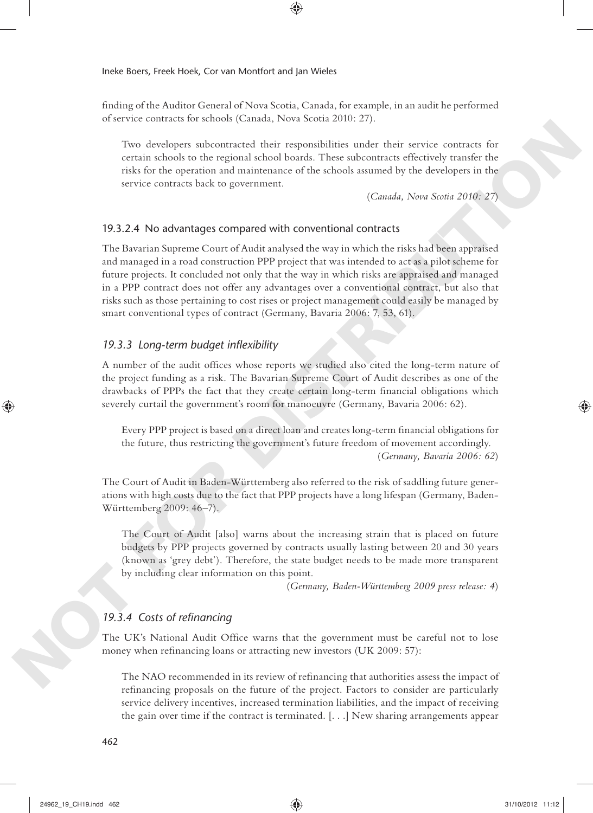finding of the Auditor General of Nova Scotia, Canada, for example, in an audit he performed of service contracts for schools (Canada, Nova Scotia 2010: 27).

⊕

Two developers subcontracted their responsibilities under their service contracts for certain schools to the regional school boards. These subcontracts effectively transfer the risks for the operation and maintenance of the schools assumed by the developers in the service contracts back to government.

( *Canada, Nova Scotia 2010: 27*)

#### 19.3.2.4 No advantages compared with conventional contracts

The Bavarian Supreme Court of Audit analysed the way in which the risks had been appraised and managed in a road construction PPP project that was intended to act as a pilot scheme for future projects. It concluded not only that the way in which risks are appraised and managed in a PPP contract does not offer any advantages over a conventional contract, but also that risks such as those pertaining to cost rises or project management could easily be managed by smart conventional types of contract (Germany, Bavaria 2006: 7, 53, 61). Few decolopers subcontracted their exponsibilities under their server contracts for<br>ecretain stocha to the regional subord bases. These identifies and<br>evidence in the regional stochastic state is a more than the served co

## 19.3.3 Long-term budget inflexibility

A number of the audit offices whose reports we studied also cited the long-term nature of the project funding as a risk. The Bavarian Supreme Court of Audit describes as one of the drawbacks of PPPs the fact that they create certain long-term financial obligations which severely curtail the government's room for manoeuvre (Germany, Bavaria 2006: 62).

Every PPP project is based on a direct loan and creates long-term financial obligations for the future, thus restricting the government's future freedom of movement accordingly. (*Germany, Bavaria 2006: 62*)

The Court of Audit in Baden-Württemberg also referred to the risk of saddling future generations with high costs due to the fact that PPP projects have a long lifespan (Germany, Baden-Württemberg 2009: 46–7).

The Court of Audit [also] warns about the increasing strain that is placed on future budgets by PPP projects governed by contracts usually lasting between 20 and 30 years (known as 'grey debt'). Therefore, the state budget needs to be made more transparent by including clear information on this point.

(*Germany, Baden-Württemberg 2009 press release: 4*)

## 19.3.4 Costs of refinancing

The UK's National Audit Office warns that the government must be careful not to lose money when refinancing loans or attracting new investors (UK 2009: 57):

The NAO recommended in its review of refinancing that authorities assess the impact of refinancing proposals on the future of the project. Factors to consider are particularly service delivery incentives, increased termination liabilities, and the impact of receiving the gain over time if the contract is terminated. [. . .] New sharing arrangements appear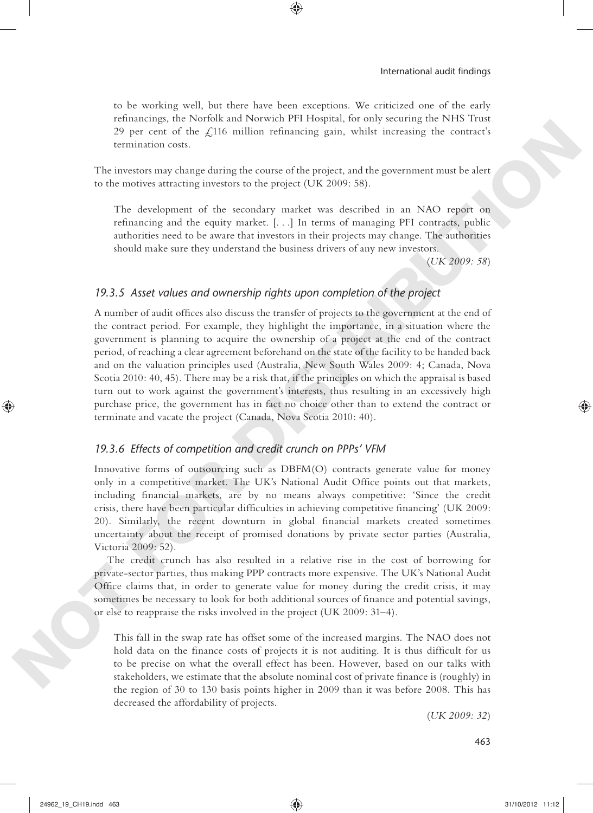to be working well, but there have been exceptions. We criticized one of the early refinancings, the Norfolk and Norwich PFI Hospital, for only securing the NHS Trust 29 per cent of the  $\angle$ 116 million refinancing gain, whilst increasing the contract's termination costs.

⊕

The investors may change during the course of the project, and the government must be alert to the motives attracting investors to the project (UK 2009: 58).

The development of the secondary market was described in an NAO report on refinancing and the equity market. [...] In terms of managing PFI contracts, public authorities need to be aware that investors in their projects may change. The authorities should make sure they understand the business drivers of any new investors.

(*UK 2009: 58*)

## *19.3.5 Asset values and ownership rights upon completion of the project*

A number of audit offices also discuss the transfer of projects to the government at the end of the contract period. For example, they highlight the importance, in a situation where the government is planning to acquire the ownership of a project at the end of the contract period, of reaching a clear agreement beforehand on the state of the facility to be handed back and on the valuation principles used (Australia, New South Wales 2009: 4; Canada, Nova Scotia 2010: 40, 45). There may be a risk that, if the principles on which the appraisal is based turn out to work against the government's interests, thus resulting in an excessively high purchase price, the government has in fact no choice other than to extend the contract or terminate and vacate the project (Canada, Nova Scotia 2010: 40). 29 per cann of the *L*D15 million refutured<br>mg pair, while increasing the contractive corrective corrective project<br>of the increase of the project and the government wavelends of the increase are<br>transitions through the c

#### *19.3.6 Effects of competition and credit crunch on PPPs' VFM*

Innovative forms of outsourcing such as DBFM(O) contracts generate value for money only in a competitive market. The UK's National Audit Office points out that markets, including financial markets, are by no means always competitive: 'Since the credit crisis, there have been particular difficulties in achieving competitive financing' (UK 2009: 20). Similarly, the recent downturn in global financial markets created sometimes uncertainty about the receipt of promised donations by private sector parties (Australia, Victoria 2009: 52).

The credit crunch has also resulted in a relative rise in the cost of borrowing for private- sector parties, thus making PPP contracts more expensive. The UK's National Audit Office claims that, in order to generate value for money during the credit crisis, it may sometimes be necessary to look for both additional sources of finance and potential savings, or else to reappraise the risks involved in the project (UK 2009: 31–4).

This fall in the swap rate has offset some of the increased margins. The NAO does not hold data on the finance costs of projects it is not auditing. It is thus difficult for us to be precise on what the overall effect has been. However, based on our talks with stakeholders, we estimate that the absolute nominal cost of private finance is (roughly) in the region of 30 to 130 basis points higher in 2009 than it was before 2008. This has decreased the affordability of projects.

(*UK 2009: 32*)

463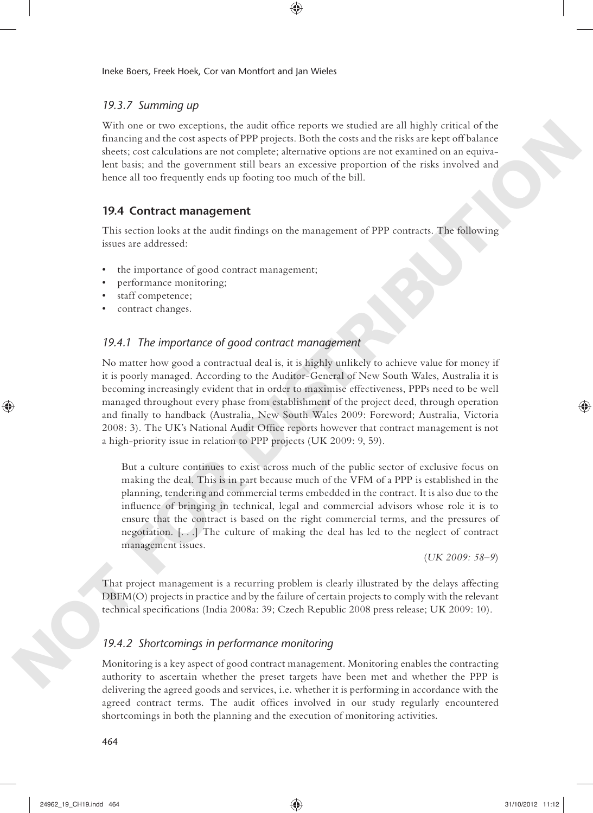## *19.3.7 Summing up*

With one or two exceptions, the audit office reports we studied are all highly critical of the financing and the cost aspects of PPP projects. Both the costs and the risks are kept off balance sheets; cost calculations are not complete; alternative options are not examined on an equivalent basis; and the government still bears an excessive proportion of the risks involved and hence all too frequently ends up footing too much of the bill.

◈

## **19.4 Contract management**

This section looks at the audit findings on the management of PPP contracts. The following issues are addressed:

- the importance of good contract management;
- performance monitoring;
- staff competence;
- contract changes.

## *19.4.1 The importance of good contract management*

No matter how good a contractual deal is, it is highly unlikely to achieve value for money if it is poorly managed. According to the Auditor-General of New South Wales, Australia it is becoming increasingly evident that in order to maximise effectiveness, PPPs need to be well managed throughout every phase from establishment of the project deed, through operation and finally to handback (Australia, New South Wales 2009: Foreword: Australia, Victoria 2008: 3). The UK's National Audit Office reports however that contract management is not a high-priority issue in relation to PPP projects (UK 2009: 9, 59). Will once two exceptions, the state through the state of section as set of the state of the state of the state of the state of the state of the state of the state of the state of the state of the state of the state of the

But a culture continues to exist across much of the public sector of exclusive focus on making the deal. This is in part because much of the VFM of a PPP is established in the planning, tendering and commercial terms embedded in the contract. It is also due to the influence of bringing in technical, legal and commercial advisors whose role it is to ensure that the contract is based on the right commercial terms, and the pressures of negotiation. [. . .] The culture of making the deal has led to the neglect of contract management issues.

(*UK 2009: 58–9*)

That project management is a recurring problem is clearly illustrated by the delays affecting DBFM(O) projects in practice and by the failure of certain projects to comply with the relevant technical specifications (India 2008a: 39; Czech Republic 2008 press release; UK 2009: 10).

## *19.4.2 Shortcomings in performance monitoring*

Monitoring is a key aspect of good contract management. Monitoring enables the contracting authority to ascertain whether the preset targets have been met and whether the PPP is delivering the agreed goods and services, i.e. whether it is performing in accordance with the agreed contract terms. The audit offices involved in our study regularly encountered shortcomings in both the planning and the execution of monitoring activities.

⊕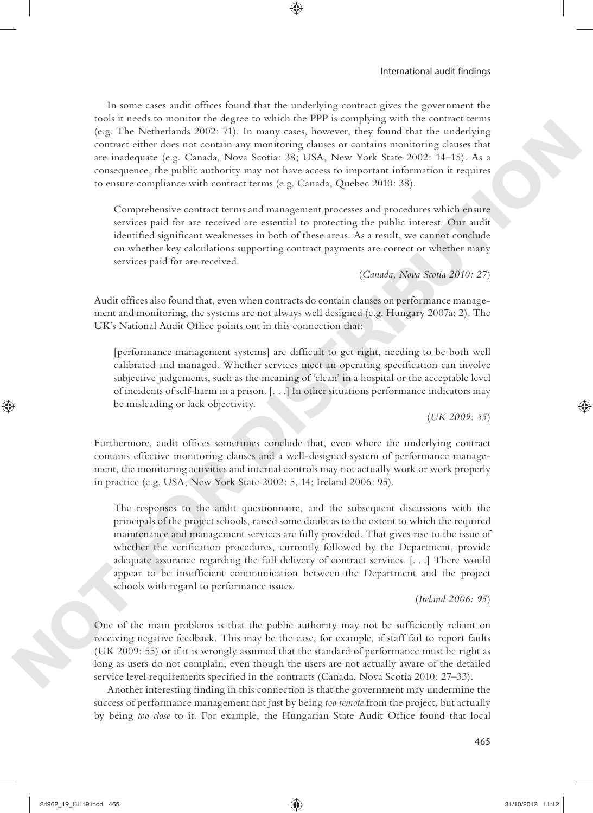In some cases audit offices found that the underlying contract gives the government the tools it needs to monitor the degree to which the PPP is complying with the contract terms (e.g. The Netherlands 2002: 71). In many cases, however, they found that the underlying contract either does not contain any monitoring clauses or contains monitoring clauses that are inadequate (e.g. Canada, Nova Scotia: 38; USA, New York State 2002: 14–15). As a consequence, the public authority may not have access to important information it requires to ensure compliance with contract terms (e.g. Canada, Quebec 2010: 38).

⊕

Comprehensive contract terms and management processes and procedures which ensure services paid for are received are essential to protecting the public interest. Our audit identified significant weaknesses in both of these areas. As a result, we cannot conclude on whether key calculations supporting contract payments are correct or whether many services paid for are received.

(*Canada, Nova Scotia 2010: 27*)

Audit offices also found that, even when contracts do contain clauses on performance management and monitoring, the systems are not always well designed (e.g. Hungary 2007a: 2). The UK's National Audit Office points out in this connection that:

[performance management systems] are difficult to get right, needing to be both well calibrated and managed. Whether services meet an operating specification can involve subjective judgements, such as the meaning of 'clean' in a hospital or the acceptable level of incidents of self- harm in a prison. [. . .] In other situations performance indicators may be misleading or lack objectivity.

(*UK 2009: 55*)

Furthermore, audit offices sometimes conclude that, even where the underlying contract contains effective monitoring clauses and a well- designed system of performance management, the monitoring activities and internal controls may not actually work or work properly in practice (e.g. USA, New York State 2002: 5, 14; Ireland 2006: 95).

The responses to the audit questionnaire, and the subsequent discussions with the principals of the project schools, raised some doubt as to the extent to which the required maintenance and management services are fully provided. That gives rise to the issue of whether the verification procedures, currently followed by the Department, provide adequate assurance regarding the full delivery of contract services. [. . .] There would appear to be insufficient communication between the Department and the project schools with regard to performance issues. (see The Neuberlands 2002). This matrix rates, however, they found that the underlying<br>counter culture to not contain any meantoting chance or contains monatoring charses that<br>are independent of the CMS Social 381 (SISA,

(*Ireland 2006: 95*)

One of the main problems is that the public authority may not be sufficiently reliant on receiving negative feedback. This may be the case, for example, if staff fail to report faults (UK 2009: 55) or if it is wrongly assumed that the standard of performance must be right as long as users do not complain, even though the users are not actually aware of the detailed service level requirements specified in the contracts (Canada, Nova Scotia 2010: 27–33).

Another interesting finding in this connection is that the government may undermine the success of performance management not just by being *too remote* from the project, but actually by being *too close* to it. For example, the Hungarian State Audit Office found that local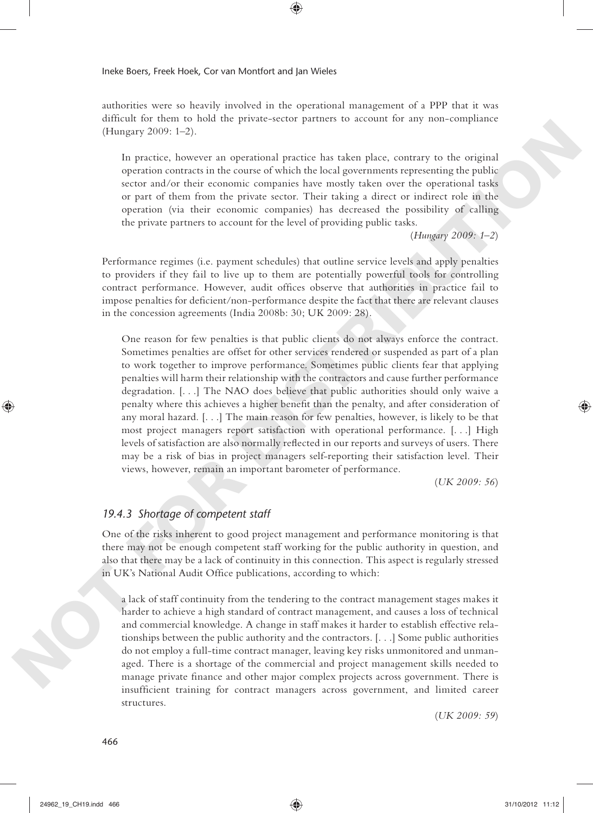authorities were so heavily involved in the operational management of a PPP that it was difficult for them to hold the private-sector partners to account for any non-compliance (Hungary 2009: 1–2).

◈

In practice, however an operational practice has taken place, contrary to the original operation contracts in the course of which the local governments representing the public sector and/or their economic companies have mostly taken over the operational tasks or part of them from the private sector. Their taking a direct or indirect role in the operation (via their economic companies) has decreased the possibility of calling the private partners to account for the level of providing public tasks.

(*Hungary 2009: 1–2*)

Performance regimes (i.e. payment schedules) that outline service levels and apply penalties to providers if they fail to live up to them are potentially powerful tools for controlling contract performance. However, audit offices observe that authorities in practice fail to impose penalties for deficient/non-performance despite the fact that there are relevant clauses in the concession agreements (India 2008b: 30; UK 2009: 28).

One reason for few penalties is that public clients do not always enforce the contract. Sometimes penalties are offset for other services rendered or suspended as part of a plan to work together to improve performance. Sometimes public clients fear that applying penalties will harm their relationship with the contractors and cause further performance degradation. [. . .] The NAO does believe that public authorities should only waive a penalty where this achieves a higher benefit than the penalty, and after consideration of any moral hazard. [. . .] The main reason for few penalties, however, is likely to be that most project managers report satisfaction with operational performance. [. . .] High levels of satisfaction are also normally reflected in our reports and surveys of users. There may be a risk of bias in project managers self- reporting their satisfaction level. Their views, however, remain an important barometer of performance. (Hampery 2009: 1-2).<br>
In particular, bosover an operational particle has calcule prior, contrary to the original<br>
nepertative, converte the neuron of which the local generative representing the public<br>
section and the mea

(*UK 2009: 56*)

## *19.4.3 Shortage of competent staff*

One of the risks inherent to good project management and performance monitoring is that there may not be enough competent staff working for the public authority in question, and also that there may be a lack of continuity in this connection. This aspect is regularly stressed in UK's National Audit Office publications, according to which:

a lack of staff continuity from the tendering to the contract management stages makes it harder to achieve a high standard of contract management, and causes a loss of technical and commercial knowledge. A change in staff makes it harder to establish effective relationships between the public authority and the contractors. [. . .] Some public authorities do not employ a full- time contract manager, leaving key risks unmonitored and unmanaged. There is a shortage of the commercial and project management skills needed to manage private finance and other major complex projects across government. There is insufficient training for contract managers across government, and limited career structures.

(*UK 2009: 59*)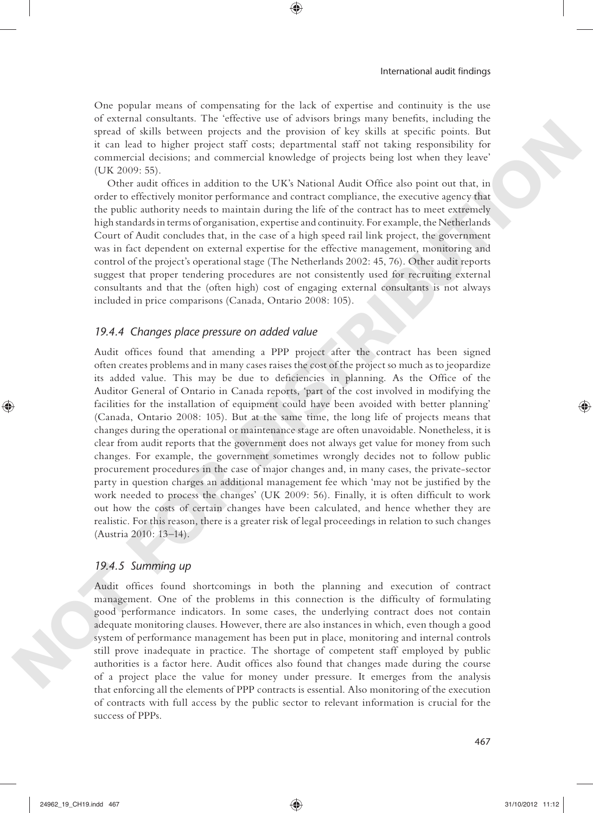One popular means of compensating for the lack of expertise and continuity is the use of external consultants. The 'effective use of advisors brings many benefits, including the spread of skills between projects and the provision of key skills at specific points. But it can lead to higher project staff costs; departmental staff not taking responsibility for commercial decisions; and commercial knowledge of projects being lost when they leave' (UK 2009: 55).

⊕

Other audit offices in addition to the UK's National Audit Office also point out that, in order to effectively monitor performance and contract compliance, the executive agency that the public authority needs to maintain during the life of the contract has to meet extremely high standards in terms of organisation, expertise and continuity. For example, the Netherlands Court of Audit concludes that, in the case of a high speed rail link project, the government was in fact dependent on external expertise for the effective management, monitoring and control of the project's operational stage (The Netherlands 2002: 45, 76). Other audit reports suggest that proper tendering procedures are not consistently used for recruiting external consultants and that the (often high) cost of engaging external consultants is not always included in price comparisons (Canada, Ontario 2008: 105).

## *19.4.4 Changes place pressure on added value*

Audit offices found that amending a PPP project after the contract has been signed often creates problems and in many cases raises the cost of the project so much as to jeopardize its added value. This may be due to deficiencies in planning. As the Office of the Auditor General of Ontario in Canada reports, 'part of the cost involved in modifying the facilities for the installation of equipment could have been avoided with better planning' (Canada, Ontario 2008: 105). But at the same time, the long life of projects means that changes during the operational or maintenance stage are often unavoidable. Nonetheless, it is clear from audit reports that the government does not always get value for money from such changes. For example, the government sometimes wrongly decides not to follow public procurement procedures in the case of major changes and, in many cases, the private- sector party in question charges an additional management fee which 'may not be justified by the work needed to process the changes' (UK 2009: 56). Finally, it is often difficult to work out how the costs of certain changes have been calculated, and hence whether they are realistic. For this reason, there is a greater risk of legal proceedings in relation to such changes (Austria 2010: 13–14). specta of sixth tenteres proports and the prevention of key still at used to point and the specta of sixth controller and to controller the sixth proportional controller controller (DE 2007-SS). (OR 2007-SS) controller an

### *19.4.5 Summing up*

Audit offices found shortcomings in both the planning and execution of contract management. One of the problems in this connection is the difficulty of formulating good performance indicators. In some cases, the underlying contract does not contain adequate monitoring clauses. However, there are also instances in which, even though a good system of performance management has been put in place, monitoring and internal controls still prove inadequate in practice. The shortage of competent staff employed by public authorities is a factor here. Audit offices also found that changes made during the course of a project place the value for money under pressure. It emerges from the analysis that enforcing all the elements of PPP contracts is essential. Also monitoring of the execution of contracts with full access by the public sector to relevant information is crucial for the success of PPPs.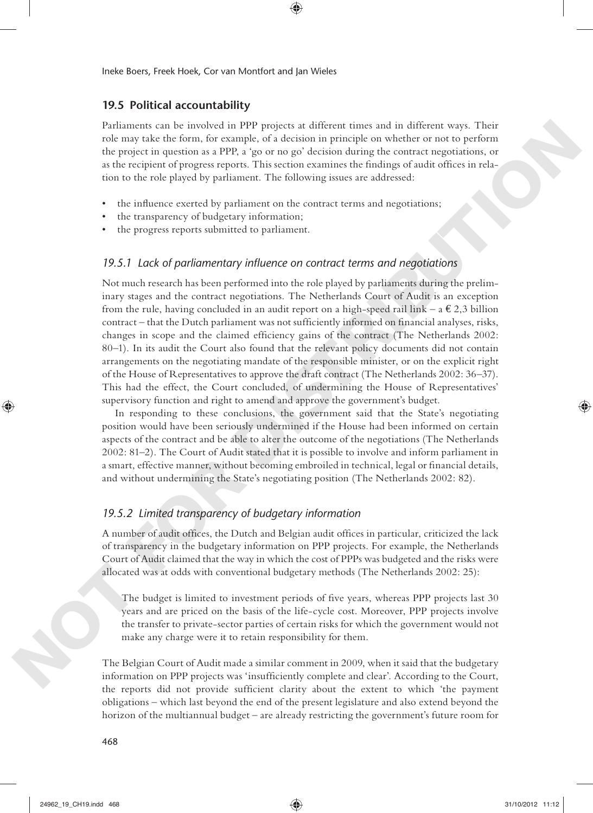## **19.5 Political accountability**

Parliaments can be involved in PPP projects at different times and in different ways. Their role may take the form, for example, of a decision in principle on whether or not to perform the project in question as a PPP, a 'go or no go' decision during the contract negotiations, or as the recipient of progress reports. This section examines the findings of audit offices in relation to the role played by parliament. The following issues are addressed:

⊕

- the influence exerted by parliament on the contract terms and negotiations;
- the transparency of budgetary information;
- the progress reports submitted to parliament.

## 19.5.1 Lack of parliamentary influence on contract terms and negotiations

Not much research has been performed into the role played by parliaments during the preliminary stages and the contract negotiations. The Netherlands Court of Audit is an exception from the rule, having concluded in an audit report on a high-speed rail link – a  $\epsilon$  2,3 billion contract – that the Dutch parliament was not sufficiently informed on financial analyses, risks, changes in scope and the claimed efficiency gains of the contract (The Netherlands 2002: 80–1). In its audit the Court also found that the relevant policy documents did not contain arrangements on the negotiating mandate of the responsible minister, or on the explicit right of the House of Representatives to approve the draft contract (The Netherlands 2002: 36–37). This had the effect, the Court concluded, of undermining the House of Representatives' supervisory function and right to amend and approve the government's budget. Formation can be involved in FPF involved and since the particle with distinct the same in the content of the particle with the same of the same of the same of the same of the same of the same of the same of the same of t

In responding to these conclusions, the government said that the State's negotiating position would have been seriously undermined if the House had been informed on certain aspects of the contract and be able to alter the outcome of the negotiations (The Netherlands 2002: 81–2). The Court of Audit stated that it is possible to involve and inform parliament in a smart, effective manner, without becoming embroiled in technical, legal or financial details, and without undermining the State's negotiating position (The Netherlands 2002: 82).

## *19.5.2 Limited transparency of budgetary information*

A number of audit offices, the Dutch and Belgian audit offices in particular, criticized the lack of transparency in the budgetary information on PPP projects. For example, the Netherlands Court of Audit claimed that the way in which the cost of PPPs was budgeted and the risks were allocated was at odds with conventional budgetary methods (The Netherlands 2002: 25):

The budget is limited to investment periods of five years, whereas PPP projects last 30 years and are priced on the basis of the life- cycle cost. Moreover, PPP projects involve the transfer to private- sector parties of certain risks for which the government would not make any charge were it to retain responsibility for them.

The Belgian Court of Audit made a similar comment in 2009, when it said that the budgetary information on PPP projects was 'insufficiently complete and clear'. According to the Court, the reports did not provide sufficient clarity about the extent to which 'the payment obligations – which last beyond the end of the present legislature and also extend beyond the horizon of the multiannual budget – are already restricting the government's future room for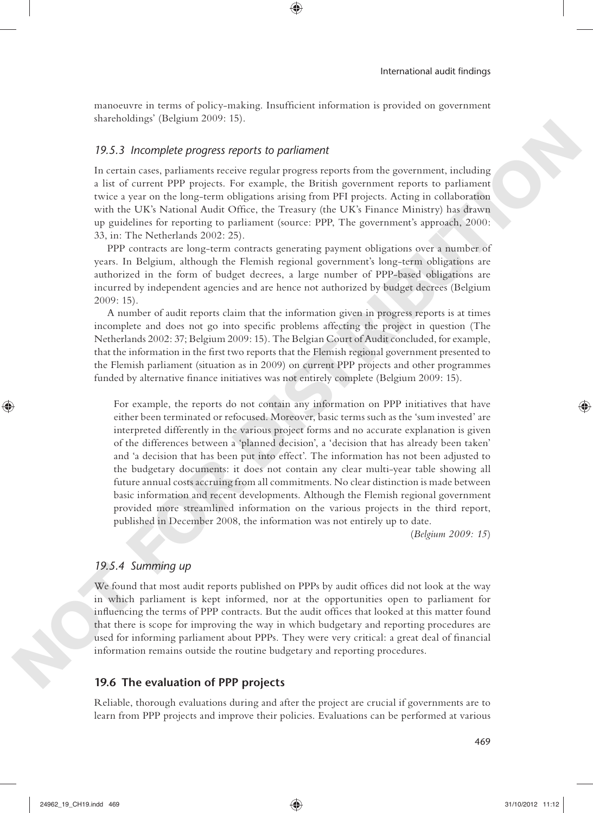manoeuvre in terms of policy-making. Insufficient information is provided on government shareholdings' (Belgium 2009: 15).

⊕

## *19.5.3 Incomplete progress reports to parliament*

In certain cases, parliaments receive regular progress reports from the government, including a list of current PPP projects. For example, the British government reports to parliament twice a year on the long- term obligations arising from PFI projects. Acting in collaboration with the UK's National Audit Office, the Treasury (the UK's Finance Ministry) has drawn up guidelines for reporting to parliament (source: PPP, The government's approach, 2000: 33, in: The Netherlands 2002: 25).

PPP contracts are long- term contracts generating payment obligations over a number of years. In Belgium, although the Flemish regional government's long- term obligations are authorized in the form of budget decrees, a large number of PPP-based obligations are incurred by independent agencies and are hence not authorized by budget decrees (Belgium 2009: 15).

A number of audit reports claim that the information given in progress reports is at times incomplete and does not go into specific problems affecting the project in question (The Netherlands 2002: 37; Belgium 2009: 15). The Belgian Court of Audit concluded, for example, that the information in the first two reports that the Flemish regional government presented to the Flemish parliament (situation as in 2009) on current PPP projects and other programmes funded by alternative finance initiatives was not entirely complete (Belgium 2009: 15).

For example, the reports do not contain any information on PPP initiatives that have either been terminated or refocused. Moreover, basic terms such as the 'sum invested' are interpreted differently in the various project forms and no accurate explanation is given of the differences between a 'planned decision', a 'decision that has already been taken' and 'a decision that has been put into effect'. The information has not been adjusted to the budgetary documents: it does not contain any clear multi- year table showing all future annual costs accruing from all commitments. No clear distinction is made between basic information and recent developments. Although the Flemish regional government provided more streamlined information on the various projects in the third report, published in December 2008, the information was not entirely up to date. **19.5.3** *hoompiete progress reports* to *portionneis*<br>the censi-case, portionness reador regular progress report from the government, including<br>a fact of current PP projects. The Members, the British government respectiv

(*Belgium 2009: 15*)

#### *19.5.4 Summing up*

We found that most audit reports published on PPPs by audit offices did not look at the way in which parliament is kept informed, nor at the opportunities open to parliament for influencing the terms of PPP contracts. But the audit offices that looked at this matter found that there is scope for improving the way in which budgetary and reporting procedures are used for informing parliament about PPPs. They were very critical: a great deal of financial information remains outside the routine budgetary and reporting procedures.

## **19.6 The evaluation of PPP projects**

Reliable, thorough evaluations during and after the project are crucial if governments are to learn from PPP projects and improve their policies. Evaluations can be performed at various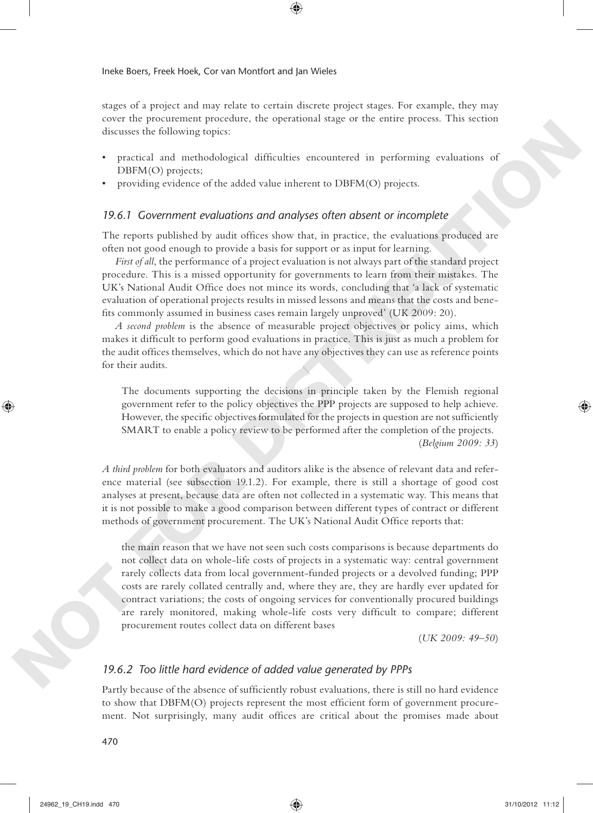stages of a project and may relate to certain discrete project stages. For example, they may cover the procurement procedure, the operational stage or the entire process. This section discusses the following topics:

⊕

- practical and methodological difficulties encountered in performing evaluations of DBFM(O) projects;
- providing evidence of the added value inherent to DBFM(O) projects.

#### *19.6.1 Government evaluations and analyses often absent or incomplete*

The reports published by audit offices show that, in practice, the evaluations produced are often not good enough to provide a basis for support or as input for learning.

*First of all*, the performance of a project evaluation is not always part of the standard project procedure. This is a missed opportunity for governments to learn from their mistakes. The UK's National Audit Office does not mince its words, concluding that 'a lack of systematic evaluation of operational projects results in missed lessons and means that the costs and benefits commonly assumed in business cases remain largely unproved' (UK 2009: 20).

*A second problem* is the absence of measurable project objectives or policy aims, which makes it difficult to perform good evaluations in practice. This is just as much a problem for the audit offices themselves, which do not have any objectives they can use as reference points for their audits.

The documents supporting the decisions in principle taken by the Flemish regional government refer to the policy objectives the PPP projects are supposed to help achieve. However, the specific objectives formulated for the projects in question are not sufficiently SMART to enable a policy review to be performed after the completion of the projects. (*Belgium 2009: 33*)

*A third problem* for both evaluators and auditors alike is the absence of relevant data and reference material (see subsection 19.1.2). For example, there is still a shortage of good cost analyses at present, because data are often not collected in a systematic way. This means that it is not possible to make a good comparison between different types of contract or different methods of government procurement. The UK's National Audit Office reports that:

the main reason that we have not seen such costs comparisons is because departments do not collect data on whole- life costs of projects in a systematic way: central government rarely collects data from local government-funded projects or a devolved funding; PPP costs are rarely collated centrally and, where they are, they are hardly ever updated for contract variations; the costs of ongoing services for conventionally procured buildings are rarely monitored, making whole-life costs very difficult to compare; different procurement routes collect data on different bases dictions the following testics<br> **Proximition** and controlled gradient different to DBTM(O) stropens.<br> **PROXIMERT** (Directors of the added violations and analytis (O) stropens.<br> **NOTES (Discrete and the added violations an** 

(*UK 2009: 49–50*)

## *19.6.2 Too little hard evidence of added value generated by PPPs*

Partly because of the absence of sufficiently robust evaluations, there is still no hard evidence to show that DBFM(O) projects represent the most efficient form of government procurement. Not surprisingly, many audit offices are critical about the promises made about

#### 470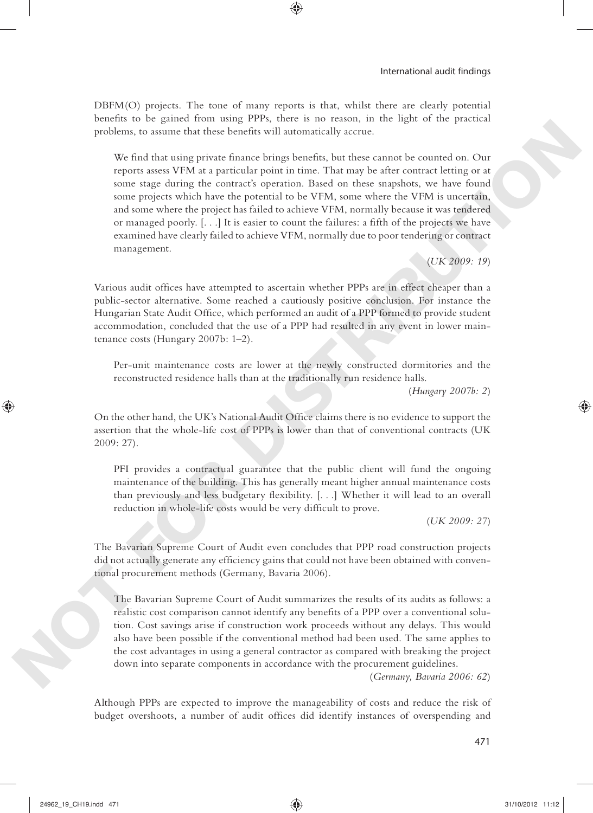DBFM(O) projects. The tone of many reports is that, whilst there are clearly potential benefits to be gained from using PPPs, there is no reason, in the light of the practical problems, to assume that these benefits will automatically accrue.

⊕

We find that using private finance brings benefits, but these cannot be counted on. Our reports assess VFM at a particular point in time. That may be after contract letting or at some stage during the contract's operation. Based on these snapshots, we have found some projects which have the potential to be VFM, some where the VFM is uncertain, and some where the project has failed to achieve VFM, normally because it was tendered or managed poorly.  $[...]$  It is easier to count the failures: a fifth of the projects we have examined have clearly failed to achieve VFM, normally due to poor tendering or contract management. precisions, to assume that these benefits will automatically accrue.<br>We find that sake private finance laterally best<br>offs. Any theory are expected to the proposition projection prior in the<br>s. The results of the stress o

(*UK 2009: 19*)

Various audit offices have attempted to ascertain whether PPPs are in effect cheaper than a public- sector alternative. Some reached a cautiously positive conclusion. For instance the Hungarian State Audit Office, which performed an audit of a PPP formed to provide student accommodation, concluded that the use of a PPP had resulted in any event in lower maintenance costs (Hungary 2007b: 1–2).

Per-unit maintenance costs are lower at the newly constructed dormitories and the reconstructed residence halls than at the traditionally run residence halls.

(*Hungary 2007b: 2*)

On the other hand, the UK's National Audit Office claims there is no evidence to support the assertion that the whole-life cost of PPPs is lower than that of conventional contracts (UK 2009: 27).

PFI provides a contractual guarantee that the public client will fund the ongoing maintenance of the building. This has generally meant higher annual maintenance costs than previously and less budgetary flexibility.  $[\ldots]$  Whether it will lead to an overall reduction in whole-life costs would be very difficult to prove.

(*UK 2009: 27*)

The Bavarian Supreme Court of Audit even concludes that PPP road construction projects did not actually generate any efficiency gains that could not have been obtained with conventional procurement methods (Germany, Bavaria 2006).

The Bavarian Supreme Court of Audit summarizes the results of its audits as follows: a realistic cost comparison cannot identify any benefits of a PPP over a conventional solution. Cost savings arise if construction work proceeds without any delays. This would also have been possible if the conventional method had been used. The same applies to the cost advantages in using a general contractor as compared with breaking the project down into separate components in accordance with the procurement guidelines.

(*Germany, Bavaria 2006: 62*)

Although PPPs are expected to improve the manageability of costs and reduce the risk of budget overshoots, a number of audit offices did identify instances of overspending and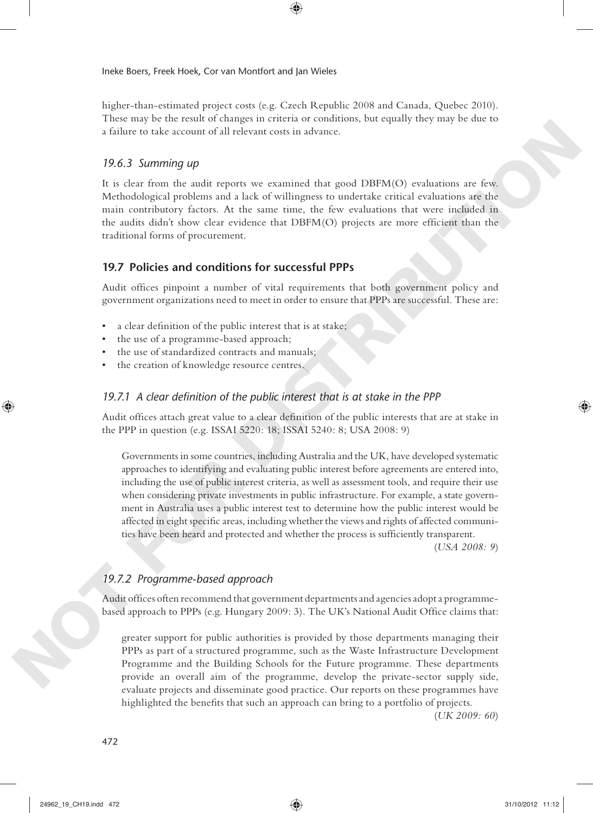higher-than-estimated project costs (e.g. Czech Republic 2008 and Canada, Quebec 2010). These may be the result of changes in criteria or conditions, but equally they may be due to a failure to take account of all relevant costs in advance.

⊕

## *19.6.3 Summing up*

It is clear from the audit reports we examined that good DBFM(O) evaluations are few. Methodological problems and a lack of willingness to undertake critical evaluations are the main contributory factors. At the same time, the few evaluations that were included in the audits didn't show clear evidence that DBFM(O) projects are more efficient than the traditional forms of procurement.

## **19.7 Policies and conditions for successful PPPs**

Audit offices pinpoint a number of vital requirements that both government policy and government organizations need to meet in order to ensure that PPPs are successful. These are:

- a clear definition of the public interest that is at stake;
- the use of a programme-based approach;
- the use of standardized contracts and manuals;
- the creation of knowledge resource centres.

## 19.7.1 A clear definition of the public interest that is at stake in the PPP

Audit offices attach great value to a clear definition of the public interests that are at stake in the PPP in question (e.g. ISSAI 5220: 18; ISSAI 5240: 8; USA 2008: 9)

Governments in some countries, including Australia and the UK, have developed systematic approaches to identifying and evaluating public interest before agreements are entered into, including the use of public interest criteria, as well as assessment tools, and require their use when considering private investments in public infrastructure. For example, a state government in Australia uses a public interest test to determine how the public interest would be affected in eight specific areas, including whether the views and rights of affected communities have been heard and protected and whether the process is sufficiently transparent. **A failure to the account of all relevant cost in advance.**<br> **NOTEST** 2000 and the main tensor that a greater the space (DBFM(C)) evaluations are two scalar of the same contribution in the same time, the cost would constr

(*USA 2008: 9*)

## *19.7.2 Programme- based approach*

Audit offices often recommend that government departments and agencies adopt a programmebased approach to PPPs (e.g. Hungary 2009: 3). The UK's National Audit Office claims that:

greater support for public authorities is provided by those departments managing their PPPs as part of a structured programme, such as the Waste Infrastructure Development Programme and the Building Schools for the Future programme. These departments provide an overall aim of the programme, develop the private- sector supply side, evaluate projects and disseminate good practice. Our reports on these programmes have highlighted the benefits that such an approach can bring to a portfolio of projects.

(*UK 2009: 60*)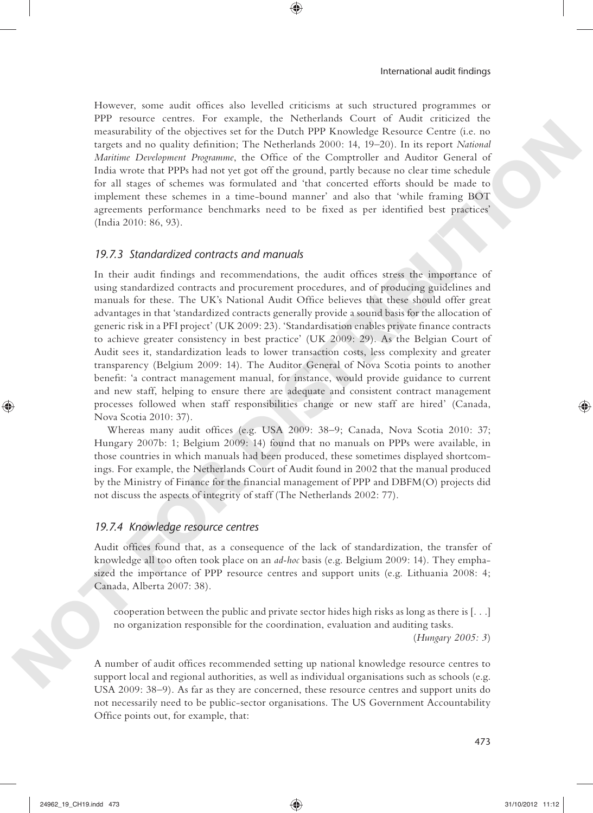However, some audit offices also levelled criticisms at such structured programmes or PPP resource centres. For example, the Netherlands Court of Audit criticized the measurability of the objectives set for the Dutch PPP Knowledge Resource Centre (i.e. no targets and no quality definition; The Netherlands 2000: 14, 19-20). In its report *National Maritime Development Programme*, the Office of the Comptroller and Auditor General of India wrote that PPPs had not yet got off the ground, partly because no clear time schedule for all stages of schemes was formulated and 'that concerted efforts should be made to implement these schemes in a time- bound manner' and also that 'while framing BOT agreements performance benchmarks need to be fixed as per identified best practices' (India 2010: 86, 93).

⊕

#### *19.7.3 Standardized contracts and manuals*

In their audit findings and recommendations, the audit offices stress the importance of using standardized contracts and procurement procedures, and of producing guidelines and manuals for these. The UK's National Audit Office believes that these should offer great advantages in that 'standardized contracts generally provide a sound basis for the allocation of generic risk in a PFI project' (UK 2009: 23). 'Standardisation enables private finance contracts to achieve greater consistency in best practice' (UK 2009: 29). As the Belgian Court of Audit sees it, standardization leads to lower transaction costs, less complexity and greater transparency (Belgium 2009: 14). The Auditor General of Nova Scotia points to another benefit: 'a contract management manual, for instance, would provide guidance to current and new staff, helping to ensure there are adequate and consistent contract management processes followed when staff responsibilities change or new staff are hired' (Canada, Nova Scotia 2010: 37). measureshing of the objective set for the Ducation PIP (Nowolegy Resource Centre (i.e., notation (i.e., notation Poissing Centre (i.e., notation Centre (i.e., notation Check and Address Centre (i.e., notation Centre of th

Whereas many audit offices (e.g. USA 2009: 38-9; Canada, Nova Scotia 2010: 37; Hungary 2007b: 1; Belgium 2009: 14) found that no manuals on PPPs were available, in those countries in which manuals had been produced, these sometimes displayed shortcomings. For example, the Netherlands Court of Audit found in 2002 that the manual produced by the Ministry of Finance for the financial management of PPP and DBFM(O) projects did not discuss the aspects of integrity of staff (The Netherlands 2002: 77).

## *19.7.4 Knowledge resource centres*

Audit offices found that, as a consequence of the lack of standardization, the transfer of knowledge all too often took place on an *ad- hoc* basis (e.g. Belgium 2009: 14). They emphasized the importance of PPP resource centres and support units (e.g. Lithuania 2008: 4; Canada, Alberta 2007: 38).

cooperation between the public and private sector hides high risks as long as there is [. . .] no organization responsible for the coordination, evaluation and auditing tasks.

(*Hungary 2005: 3*)

A number of audit offices recommended setting up national knowledge resource centres to support local and regional authorities, as well as individual organisations such as schools (e.g. USA 2009: 38–9). As far as they are concerned, these resource centres and support units do not necessarily need to be public- sector organisations. The US Government Accountability Office points out, for example, that: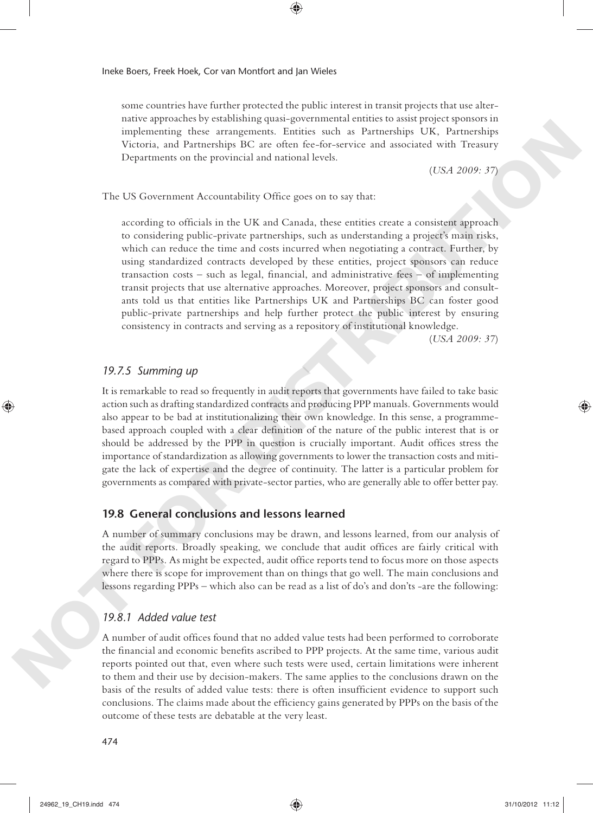some countries have further protected the public interest in transit projects that use alternative approaches by establishing quasi- governmental entities to assist project sponsors in implementing these arrangements. Entities such as Partnerships UK, Partnerships Victoria, and Partnerships BC are often fee-for-service and associated with Treasury Departments on the provincial and national levels.

◈

(*USA 2009: 37*)

The US Government Accountability Office goes on to say that:

according to officials in the UK and Canada, these entities create a consistent approach to considering public- private partnerships, such as understanding a project's main risks, which can reduce the time and costs incurred when negotiating a contract. Further, by using standardized contracts developed by these entities, project sponsors can reduce transaction costs – such as legal, financial, and administrative fees – of implementing transit projects that use alternative approaches. Moreover, project sponsors and consultants told us that entities like Partnerships UK and Partnerships BC can foster good public- private partnerships and help further protect the public interest by ensuring consistency in contracts and serving as a repository of institutional knowledge. Implementing those arrangements. Entiring with use of a Phermaline WK. Pirraching the space and the space and the space and the space of the space of the space and the space of the space of the space of the space of the s

(*USA 2009: 37*)

#### *19.7.5 Summing up*

It is remarkable to read so frequently in audit reports that governments have failed to take basic action such as drafting standardized contracts and producing PPP manuals. Governments would also appear to be bad at institutionalizing their own knowledge. In this sense, a programmebased approach coupled with a clear definition of the nature of the public interest that is or should be addressed by the PPP in question is crucially important. Audit offices stress the importance of standardization as allowing governments to lower the transaction costs and mitigate the lack of expertise and the degree of continuity. The latter is a particular problem for governments as compared with private- sector parties, who are generally able to offer better pay.

## **19.8 General conclusions and lessons learned**

A number of summary conclusions may be drawn, and lessons learned, from our analysis of the audit reports. Broadly speaking, we conclude that audit offices are fairly critical with regard to PPPs. As might be expected, audit office reports tend to focus more on those aspects where there is scope for improvement than on things that go well. The main conclusions and lessons regarding PPPs – which also can be read as a list of do's and don'ts -are the following:

## *19.8.1 Added value test*

A number of audit offices found that no added value tests had been performed to corroborate the financial and economic benefits ascribed to PPP projects. At the same time, various audit reports pointed out that, even where such tests were used, certain limitations were inherent to them and their use by decision- makers. The same applies to the conclusions drawn on the basis of the results of added value tests: there is often insufficient evidence to support such conclusions. The claims made about the efficiency gains generated by PPPs on the basis of the outcome of these tests are debatable at the very least.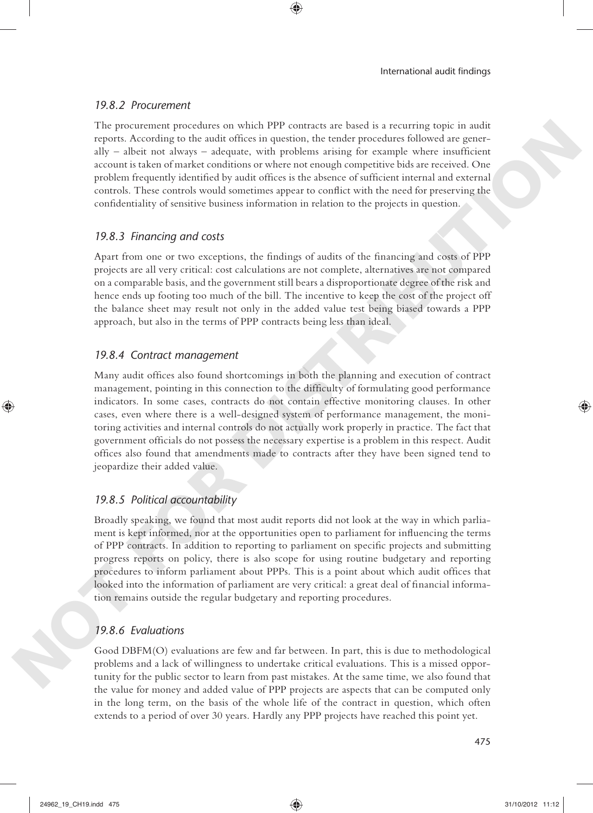## *19.8.2 Procurement*

The procurement procedures on which PPP contracts are based is a recurring topic in audit reports. According to the audit offices in question, the tender procedures followed are generally  $-$  albeit not always  $-$  adequate, with problems arising for example where insufficient account is taken of market conditions or where not enough competitive bids are received. One problem frequently identified by audit offices is the absence of sufficient internal and external controls. These controls would sometimes appear to conflict with the need for preserving the confidentiality of sensitive business information in relation to the projects in question.

## *19.8.3 Financing and costs*

Apart from one or two exceptions, the findings of audits of the financing and costs of PPP projects are all very critical: cost calculations are not complete, alternatives are not compared on a comparable basis, and the government still bears a disproportionate degree of the risk and hence ends up footing too much of the bill. The incentive to keep the cost of the project off the balance sheet may result not only in the added value test being biased towards a PPP approach, but also in the terms of PPP contracts being less than ideal.

## *19.8.4 Contract management*

Many audit offices also found shortcomings in both the planning and execution of contract management, pointing in this connection to the difficulty of formulating good performance indicators. In some cases, contracts do not contain effective monitoring clauses. In other cases, even where there is a well- designed system of performance management, the monitoring activities and internal controls do not actually work properly in practice. The fact that government officials do not possess the necessary expertise is a problem in this respect. Audit offices also found that amendments made to contracts after they have been signed tend to jeopardize their added value. The procedures procedures on World PPF contracts are loased as a contempt point. In a matrix and the contract of the state of the state of the state of the state of the state and the state and the state and the state and t

## *19.8.5 Political accountability*

Broadly speaking, we found that most audit reports did not look at the way in which parliament is kept informed, nor at the opportunities open to parliament for influencing the terms of PPP contracts. In addition to reporting to parliament on specifi c projects and submitting progress reports on policy, there is also scope for using routine budgetary and reporting procedures to inform parliament about PPPs. This is a point about which audit offices that looked into the information of parliament are very critical: a great deal of financial information remains outside the regular budgetary and reporting procedures.

## *19.8.6 Evaluations*

Good DBFM(O) evaluations are few and far between. In part, this is due to methodological problems and a lack of willingness to undertake critical evaluations. This is a missed opportunity for the public sector to learn from past mistakes. At the same time, we also found that the value for money and added value of PPP projects are aspects that can be computed only in the long term, on the basis of the whole life of the contract in question, which often extends to a period of over 30 years. Hardly any PPP projects have reached this point yet.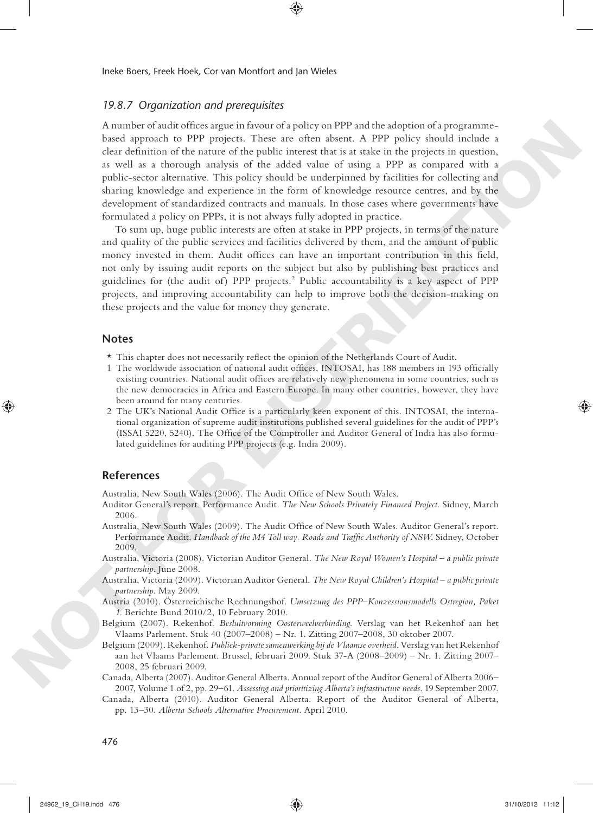#### *19.8.7 Organization and prerequisites*

A number of audit offices argue in favour of a policy on PPP and the adoption of a programmebased approach to PPP projects. These are often absent. A PPP policy should include a clear definition of the nature of the public interest that is at stake in the projects in question, as well as a thorough analysis of the added value of using a PPP as compared with a public-sector alternative. This policy should be underpinned by facilities for collecting and sharing knowledge and experience in the form of knowledge resource centres, and by the development of standardized contracts and manuals. In those cases where governments have formulated a policy on PPPs, it is not always fully adopted in practice. A most of ansatted reaches point in the basis of the state of the state of the state of the state of the state of the state of the state of the state of the state of the state of the state of the state of the state of the

◈

To sum up, huge public interests are often at stake in PPP projects, in terms of the nature and quality of the public services and facilities delivered by them, and the amount of public money invested in them. Audit offices can have an important contribution in this field, not only by issuing audit reports on the subject but also by publishing best practices and guidelines for (the audit of) PPP projects.<sup>2</sup> Public accountability is a key aspect of PPP projects, and improving accountability can help to improve both the decision- making on these projects and the value for money they generate.

## **Notes**

- $\star$  This chapter does not necessarily reflect the opinion of the Netherlands Court of Audit.
- 1 The worldwide association of national audit offices, INTOSAI, has 188 members in 193 officially existing countries. National audit offices are relatively new phenomena in some countries, such as the new democracies in Africa and Eastern Europe. In many other countries, however, they have been around for many centuries.
- 2 The UK's National Audit Office is a particularly keen exponent of this. INTOSAI, the international organization of supreme audit institutions published several guidelines for the audit of PPP's (ISSAI 5220, 5240). The Office of the Comptroller and Auditor General of India has also formulated guidelines for auditing PPP projects (e.g. India 2009).

#### **References**

Australia, New South Wales (2006). The Audit Office of New South Wales.

- Auditor General's report . Performance Audit . *The New Schools Privately Financed Project*. Sidney , March 2006.
- Australia, New South Wales (2009). The Audit Office of New South Wales. Auditor General's report. Performance Audit. *Handback of the M4 Toll way. Roads and Traffic Authority of NSW*. Sidney, October 2009.
- Australia, Victoria( 2008 ). Victorian Auditor General . *The New Royal Women's Hospital a public private*  partnership. June 2008.
- Australia, Victoria( 2009 ). Victorian Auditor General . *The New Royal Children's Hospital a public private*  partnership. May 2009.
- Austria( 2010 ). Österreichische Rechnungshof . *Umsetzung des PPP–Konzessionsmodells Ostregion, Paket 1*. Berichte Bund 2010/2, 10 February 2010.
- Belgium( 2007 ). Rekenhof . *Besluitvorming Oosterweelverbinding*. Verslag van het Rekenhof aan het Vlaams Parlement. Stuk 40 (2007–2008) – Nr. 1. Zitting 2007–2008, 30 oktober 2007.
- Belgium( 2009 ). Rekenhof . *Publiek- private samenwerking bij de Vlaamse overheid*. Verslag van het Rekenhof aan het Vlaams Parlement. Brussel, februari 2009. Stuk 37-A (2008–2009) – Nr. 1. Zitting 2007– 2008, 25 februari 2009.
- Canada, Alberta (2007). Auditor General Alberta. Annual report of the Auditor General of Alberta 2006– 2007, Volume 1of 2 , pp. 29 – 61 . *Assessing and prioritizing Alberta's infrastructure needs*. 19 September 2007 .
- Canada, Alberta (2010). Auditor General Alberta. Report of the Auditor General of Alberta, pp. 13-30. *Alberta Schools Alternative Procurement*. April 2010.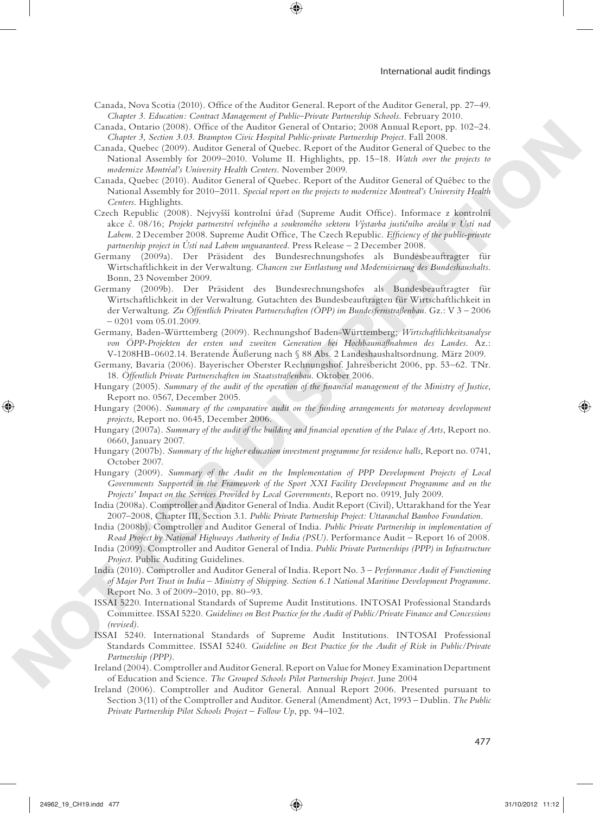Canada, Nova Scotia (2010). Office of the Auditor General. Report of the Auditor General, pp. 27-49. *Chapter 3. Education: Contract Management of Public–Private Partnership Schools* . February 2010 .

- Canada, Ontario (2008). Office of the Auditor General of Ontario; 2008 Annual Report, pp. 102–24. *Chapter 3, Section 3.03. Brampton Civic Hospital Public- private Partnership Project* . Fall 2008.
- Canada, Quebec (2009). Auditor General of Quebec. Report of the Auditor General of Quebec to the National Assembly for 2009–2010. Volume II. Highlights, pp. 15–18. Watch over the projects to *modernize Montréal's University Health Centers* . November 2009 .
- Canada, Quebec (2010). Auditor General of Quebec. Report of the Auditor General of Québec to the National Assembly for 2010–2011 . *Special report on the projects to modernize Montreal's University Health Centers*. Highlights.
- Czech Republic (2008). Nejvyšší kontrolní úřad (Supreme Audit Office). Informace z kontrolní akce č. 08/16; Projekt partnerství veřejného a soukromého sektoru Výstavba justičního areálu v Ústí nad Labem. 2 December 2008. Supreme Audit Office, The Czech Republic. *Efficiency of the public-private partnership project in Ústí nad Labem unguaranteed*. Press Release – 2 December 2008 . Counter (Function 2011). And the former interaction Counter (Function 2018) and the state of the state of the state of the state of the state of the state of the state of the state of the state of the state of the state o
	- Germany( 2009 a). Der Präsident des Bundesrechnungshofes als Bundesbeauftragter für Wirtschaftlichkeit in der Verwaltung. Chancen zur Entlastung und Modernisierung des Bundeshaushalts. Bonn, 23 November 2009.
	- Germany( 2009 b). Der Präsident des Bundesrechnungshofes als Bundesbeauftragter für Wirtschaftlichkeit in der Verwaltung. Gutachten des Bundesbeauftragten für Wirtschaftlichkeit in der Verwaltung . *Zu Öffentlich Privaten Partnerschaften (ÖPP) im Bundesfernstraßenbau*. Gz.: V 3 – 2006 – 0201 vom 05.01.2009.
	- Germany, Baden-Württemberg( 2009 ). Rechnungshof Baden-Württemberg; *Wirtschaftlichkeitsanalyse von ÖPP-Projekten der ersten und zweiten Generation bei Hochbaumaßnahmen des Landes*. Az.: V-1208HB-0602.14. Beratende Äußerung nach § 88 Abs. 2 Landeshaushaltsordnung. März 2009.
	- Germany, Bavaria (2006). Bayerischer Oberster Rechnungshof. Jahresbericht 2006, pp. 53-62. TNr. 18. *Öffentlich Private Partnerschaften im Staatsstraßenbau* . Oktober 2006 .
	- Hungary (2005). Summary of the audit of the operation of the financial management of the Ministry of Justice, Report no. 0567, December 2005.
	- Hungary (2006). Summary of the comparative audit on the funding arrangements for motorway development projects, Report no. 0645, December 2006.
	- Hungary (2007a). *Summary of the audit of the building and financial operation of the Palace of Arts*, Report no. 0660, January 2007.
	- Hungary( 2007 b). *Summary of the higher education investment programme for residence halls*, Report no. 0741, October 2007.
	- Hungary (2009). Summary of the Audit on the Implementation of PPP Development Projects of Local *Governments Supported in the Framework of the Sport XXI Facility Development Programme and on the*  Projects' Impact on the Services Provided by Local Governments, Report no. 0919, July 2009.
	- India( 2008 a). Comptroller and Auditor General of India. Audit Report (Civil), Uttarakhand for the Year 2007–2008, Chapter III, Section 3.1. *Public Private Partnership Project: Uttaranchal Bamboo Foundation* .
	- India( 2008 b). Comptroller and Auditor General of India . *Public Private Partnership in implementation of Road Project by National Highways Authority of India (PSU)*. Performance Audit – Report 16 of 2008.
	- India( 2009 ). Comptroller and Auditor General of India . *Public Private Partnerships (PPP) in Infrastructure Project*. Public Auditing Guidelines.
	- India( 2010 ). Comptroller and Auditor General of India. Report No. 3 *Performance Audit of Functioning of Major Port Trust in India – Ministry of Shipping. Section 6.1 National Maritime Development Programme* . Report No. 3 of 2009–2010, pp. 80–93.
	- ISSAI 5220 . International Standards of Supreme Audit Institutions. INTOSAI Professional Standards Committee. ISSAI 5220 . *Guidelines on Best Practice for the Audit of Public/Private Finance and Concessions (revised)* .
	- ISSAI 5240 . International Standards of Supreme Audit Institutions. INTOSAI Professional Standards Committee. ISSAI 5240 . *Guideline on Best Practice for the Audit of Risk in Public/Private Partnership (PPP)* .
	- Ireland( 2004 ). Comptroller and Auditor General. Report on Value for Money Examination Department of Education and Science . *The Grouped Schools Pilot Partnership Project* . June 2004
	- Ireland (2006). Comptroller and Auditor General. Annual Report 2006. Presented pursuant to Section 3(11) of the Comptroller and Auditor. General (Amendment) Act, 1993 – Dublin. *The Public Private Partnership Pilot Schools Project – Follow Up*, pp. 94–102.